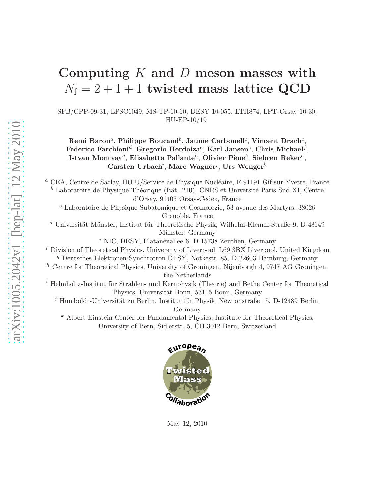# Computing  $K$  and  $D$  meson masses with  $N_f = 2 + 1 + 1$  twisted mass lattice QCD

SFB/CPP-09-31, LPSC1049, MS-TP-10-10, DESY 10-055, LTH874, LPT-Orsay 10-30, HU-EP-10/19

 $\mathrm{Remi\; Baron}^a,$  Philippe Boucaud $^b,$  Jaume Carbonell $^c,$  Vincent Drach $^c,$ Federico Farchioni ${}^d,$  Gregorio Herdoiza ${}^e,$  Karl Jansen ${}^e,$  Chris Michael ${}^f,$ Istvan Montvay $^g$ , Elisabetta Pallante $^h$ , Olivier Pène $^b$ , Siebren Reker $^h$ , Carsten Urbach<sup>i</sup>, Marc Wagner<sup>j</sup>, Urs Wenger<sup>k</sup>

<sup>a</sup> CEA, Centre de Saclay, IRFU/Service de Physique Nucléaire, F-91191 Gif-sur-Yvette, France  $^b$  Laboratoire de Physique Théorique (Bât. 210), CNRS et Université Paris-Sud XI, Centre d'Orsay, 91405 Orsay-Cedex, France

 $c$  Laboratoire de Physique Subatomique et Cosmologie, 53 avenue des Martyrs, 38026 Grenoble, France

 $d$  Universität Münster, Institut für Theoretische Physik, Wilhelm-Klemm-Straße 9, D-48149 Münster, Germany

<sup>e</sup> NIC, DESY, Platanenallee 6, D-15738 Zeuthen, Germany

 $f$  Division of Theoretical Physics, University of Liverpool, L69 3BX Liverpool, United Kingdom <sup>g</sup> Deutsches Elektronen-Synchrotron DESY, Notkestr. 85, D-22603 Hamburg, Germany

 $h$  Centre for Theoretical Physics, University of Groningen, Nijenborgh 4, 9747 AG Groningen, the Netherlands

 $i$  Helmholtz-Institut für Strahlen- und Kernphysik (Theorie) and Bethe Center for Theoretical Physics, Universität Bonn, 53115 Bonn, Germany

 $j$  Humboldt-Universität zu Berlin, Institut für Physik, Newtonstraße 15, D-12489 Berlin, Germany

 $k$  Albert Einstein Center for Fundamental Physics, Institute for Theoretical Physics, University of Bern, Sidlerstr. 5, CH-3012 Bern, Switzerland



May 12, 2010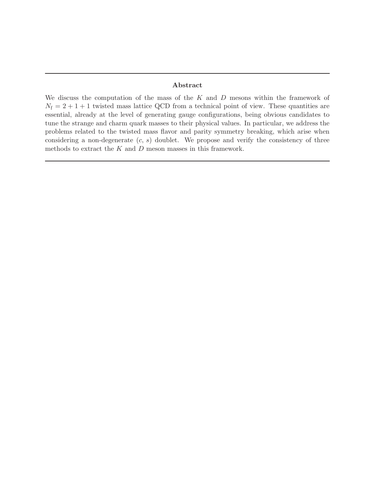### Abstract

We discuss the computation of the mass of the  $K$  and  $D$  mesons within the framework of  $N_f = 2 + 1 + 1$  twisted mass lattice QCD from a technical point of view. These quantities are essential, already at the level of generating gauge configurations, being obvious candidates to tune the strange and charm quark masses to their physical values. In particular, we address the problems related to the twisted mass flavor and parity symmetry breaking, which arise when considering a non-degenerate  $(c, s)$  doublet. We propose and verify the consistency of three methods to extract the  $K$  and  $D$  meson masses in this framework.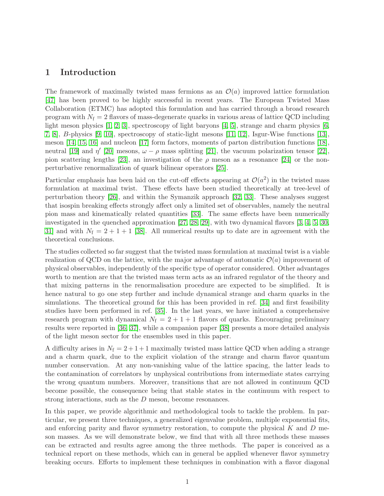### 1 Introduction

The framework of maximally twisted mass fermions as an  $\mathcal{O}(a)$  improved lattice formulation [\[47\]](#page-31-0) has been proved to be highly successful in recent years. The European Twisted Mass Collaboration (ETMC) has adopted this formulation and has carried through a broad research program with  $N_f = 2$  flavors of mass-degenerate quarks in various areas of lattice QCD including light meson physics [\[1,](#page-28-0) [2,](#page-28-1) [3\]](#page-28-2), spectroscopy of light baryons [\[4,](#page-28-3) [5\]](#page-28-4), strange and charm physics [\[6,](#page-28-5) [7,](#page-28-6) [8\]](#page-28-7), B-physics [\[9,](#page-28-8) [10\]](#page-28-9), spectroscopy of static-light mesons [\[11,](#page-28-10) [12\]](#page-28-11), Isgur-Wise functions [\[13\]](#page-28-12), meson [\[14,](#page-28-13) [15,](#page-29-0) [16\]](#page-29-1) and nucleon [\[17\]](#page-29-2) form factors, moments of parton distribution functions [\[18\]](#page-29-3), neutral [\[19\]](#page-29-4) and  $\eta'$  [\[20\]](#page-29-5) mesons,  $\omega - \rho$  mass splitting [\[21\]](#page-29-6), the vacuum polarization tensor [\[22\]](#page-29-7), pion scattering lengths [\[23\]](#page-29-8), an investigation of the  $\rho$  meson as a resonance [\[24\]](#page-29-9) or the nonperturbative renormalization of quark bilinear operators [\[25\]](#page-29-10).

Particular emphasis has been laid on the cut-off effects appearing at  $\mathcal{O}(a^2)$  in the twisted mass formulation at maximal twist. These effects have been studied theoretically at tree-level of perturbation theory [\[26\]](#page-29-11), and within the Symanzik approach [\[32,](#page-30-0) [33\]](#page-30-1). These analyses suggest that isospin breaking effects strongly affect only a limited set of observables, namely the neutral pion mass and kinematically related quantities [\[33\]](#page-30-1). The same effects have been numerically investigated in the quenched approximation [\[27,](#page-29-12) [28,](#page-29-13) [29\]](#page-29-14), with two dynamical flavors [\[3,](#page-28-2) [4,](#page-28-3) [5,](#page-28-4) [30,](#page-30-2) [31\]](#page-30-3) and with  $N_f = 2 + 1 + 1$  [\[38\]](#page-30-4). All numerical results up to date are in agreement with the theoretical conclusions.

The studies collected so far suggest that the twisted mass formulation at maximal twist is a viable realization of QCD on the lattice, with the major advantage of automatic  $\mathcal{O}(a)$  improvement of physical observables, independently of the specific type of operator considered. Other advantages worth to mention are that the twisted mass term acts as an infrared regulator of the theory and that mixing patterns in the renormalisation procedure are expected to be simplified. It is hence natural to go one step further and include dynamical strange and charm quarks in the simulations. The theoretical ground for this has been provided in ref. [\[34\]](#page-30-5) and first feasibility studies have been performed in ref. [\[35\]](#page-30-6). In the last years, we have initiated a comprehensive research program with dynamical  $N_f = 2 + 1 + 1$  flavors of quarks. Encouraging preliminary results were reported in [\[36,](#page-30-7) [37\]](#page-30-8), while a companion paper [\[38\]](#page-30-4) presents a more detailed analysis of the light meson sector for the ensembles used in this paper.

A difficulty arises in  $N_f = 2 + 1 + 1$  maximally twisted mass lattice QCD when adding a strange and a charm quark, due to the explicit violation of the strange and charm flavor quantum number conservation. At any non-vanishing value of the lattice spacing, the latter leads to the contamination of correlators by unphysical contributions from intermediate states carrying the wrong quantum numbers. Moreover, transitions that are not allowed in continuum QCD become possible, the consequence being that stable states in the continuum with respect to strong interactions, such as the D meson, become resonances.

In this paper, we provide algorithmic and methodological tools to tackle the problem. In particular, we present three techniques, a generalized eigenvalue problem, multiple exponential fits, and enforcing parity and flavor symmetry restoration, to compute the physical  $K$  and  $D$  meson masses. As we will demonstrate below, we find that with all three methods these masses can be extracted and results agree among the three methods. The paper is conceived as a technical report on these methods, which can in general be applied whenever flavor symmetry breaking occurs. Efforts to implement these techniques in combination with a flavor diagonal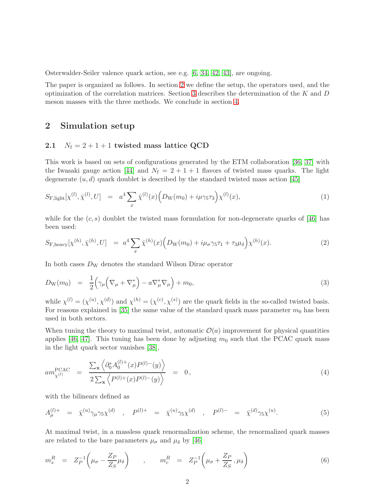Osterwalder-Seiler valence quark action, see e.g. [\[6,](#page-28-5) [34,](#page-30-5) [42,](#page-30-9) [43\]](#page-30-10), are ongoing.

The paper is organized as follows. In section [2](#page-3-0) we define the setup, the operators used, and the optimization of the correlation matrices. Section [3](#page-8-0) describes the determination of the K and  $D$ meson masses with the three methods. We conclude in section [4.](#page-25-0)

### <span id="page-3-0"></span>2 Simulation setup

### 2.1  $N_f = 2 + 1 + 1$  twisted mass lattice QCD

This work is based on sets of configurations generated by the ETM collaboration [\[36,](#page-30-7) [37\]](#page-30-8) with the Iwasaki gauge action [\[44\]](#page-30-11) and  $N_f = 2 + 1 + 1$  flavors of twisted mass quarks. The light degenerate  $(u, d)$  quark doublet is described by the standard twisted mass action [\[45\]](#page-30-12)

<span id="page-3-1"></span>
$$
S_{\text{F,light}}[\chi^{(l)}, \bar{\chi}^{(l)}, U] = a^4 \sum_x \bar{\chi}^{(l)}(x) \Big( D_{\text{W}}(m_0) + i\mu\gamma_5 \tau_3 \Big) \chi^{(l)}(x), \tag{1}
$$

while for the  $(c, s)$  doublet the twisted mass formulation for non-degenerate quarks of [\[46\]](#page-31-1) has been used:

<span id="page-3-3"></span>
$$
S_{\mathcal{F},\text{heavy}}[\chi^{(h)},\bar{\chi}^{(h)},U] = a^4 \sum_{x} \bar{\chi}^{(h)}(x) \Big( D_{\mathcal{W}}(m_0) + i\mu_{\sigma}\gamma_5\tau_1 + \tau_3\mu_{\delta} \Big) \chi^{(h)}(x). \tag{2}
$$

In both cases  $D_W$  denotes the standard Wilson Dirac operator

<span id="page-3-2"></span>
$$
D_{\mathcal{W}}(m_0) = \frac{1}{2} \left( \gamma_\mu \left( \nabla_\mu + \nabla_\mu^* \right) - a \nabla_\mu^* \nabla_\mu \right) + m_0, \tag{3}
$$

while  $\chi^{(l)} = (\chi^{(u)}, \chi^{(d)})$  and  $\chi^{(h)} = (\chi^{(c)}, \chi^{(s)})$  are the quark fields in the so-called twisted basis. For reasons explained in [\[35\]](#page-30-6) the same value of the standard quark mass parameter  $m_0$  has been used in both sectors.

When tuning the theory to maximal twist, automatic  $\mathcal{O}(a)$  improvement for physical quantities applies [\[46,](#page-31-1) [47\]](#page-31-0). This tuning has been done by adjusting  $m_0$  such that the PCAC quark mass in the light quark sector vanishes [\[38\]](#page-30-4),

<span id="page-3-5"></span>
$$
am_{\chi^{(l)}}^{\text{PCAC}} = \frac{\sum_{\mathbf{x}} \left\langle \partial_0^* A_0^{(l)+}(x) P^{(l)-}(y) \right\rangle}{2 \sum_{\mathbf{x}} \left\langle P^{(l)+}(x) P^{(l)-}(y) \right\rangle} = 0, \tag{4}
$$

with the bilinears defined as

<span id="page-3-6"></span>
$$
A_{\mu}^{(l)+} = \bar{\chi}^{(u)} \gamma_{\mu} \gamma_5 \chi^{(d)} \quad , \quad P^{(l)+} = \bar{\chi}^{(u)} \gamma_5 \chi^{(d)} \quad , \quad P^{(l)-} = \bar{\chi}^{(d)} \gamma_5 \chi^{(u)}.
$$
 (5)

At maximal twist, in a massless quark renormalization scheme, the renormalized quark masses are related to the bare parameters  $\mu_\sigma$  and  $\mu_\delta$  by [\[46\]](#page-31-1)

<span id="page-3-4"></span>
$$
m_s^R = Z_P^{-1} \left( \mu_\sigma - \frac{Z_P}{Z_S} \mu_\delta \right) , \qquad m_c^R = Z_P^{-1} \left( \mu_\sigma + \frac{Z_P}{Z_S}, \mu_\delta \right)
$$
(6)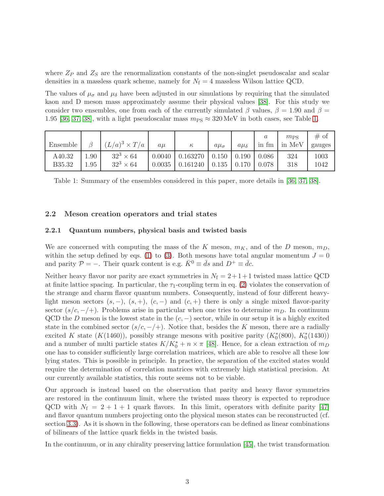where  $Z_P$  and  $Z_S$  are the renormalization constants of the non-singlet pseudoscalar and scalar densities in a massless quark scheme, namely for  $N_f = 4$  massless Wilson lattice QCD.

The values of  $\mu_{\sigma}$  and  $\mu_{\delta}$  have been adjusted in our simulations by requiring that the simulated kaon and D meson mass approximately assume their physical values [\[38\]](#page-30-4). For this study we consider two ensembles, one from each of the currently simulated  $\beta$  values,  $\beta = 1.90$  and  $\beta =$ 1.95 [\[36,](#page-30-7) [37,](#page-30-8) [38\]](#page-30-4), with a light pseudoscalar mass  $m_{\text{PS}} \approx 320 \text{ MeV}$  in both cases, see Table [1.](#page-4-0)

| Ensemble         |              | $(L/a)^3 \times T/a$                 | $a\mu$ | $\kappa$                                      | $a\mu_{\sigma}$ | $a\mu_{\delta}$ | in fm          | $m_{PS}$<br>in MeV | # of<br>gauges |
|------------------|--------------|--------------------------------------|--------|-----------------------------------------------|-----------------|-----------------|----------------|--------------------|----------------|
| A40.32<br>B35.32 | 1.90<br>1.95 | $32^3 \times 64$<br>$32^3 \times 64$ | 0.0035 | $0.0040 \mid 0.163270 \mid 0.150$<br>0.161240 | 0.135           | 0.190<br>0.170  | 0.086<br>0.078 | 324<br>318         | 1003<br>1042   |

<span id="page-4-0"></span>Table 1: Summary of the ensembles considered in this paper, more details in [\[36,](#page-30-7) [37,](#page-30-8) [38\]](#page-30-4).

### <span id="page-4-1"></span>2.2 Meson creation operators and trial states

#### 2.2.1 Quantum numbers, physical basis and twisted basis

We are concerned with computing the mass of the K meson,  $m_K$ , and of the D meson,  $m_D$ , within the setup defined by eqs. [\(1\)](#page-3-1) to [\(3\)](#page-3-2). Both mesons have total angular momentum  $J = 0$ and parity  $P = -$ . Their quark content is e.g.  $\bar{K}^0 \equiv \bar{d}s$  and  $D^+ \equiv \bar{d}c$ .

Neither heavy flavor nor parity are exact symmetries in  $N_f = 2 + 1 + 1$  twisted mass lattice QCD at finite lattice spacing. In particular, the  $\tau_1$ -coupling term in eq. [\(2\)](#page-3-3) violates the conservation of the strange and charm flavor quantum numbers. Consequently, instead of four different heavylight meson sectors  $(s, -)$ ,  $(s, +)$ ,  $(c, -)$  and  $(c, +)$  there is only a single mixed flavor-parity sector  $(s/c, -/+)$ . Problems arise in particular when one tries to determine  $m<sub>D</sub>$ . In continuum QCD the D meson is the lowest state in the  $(c, -)$  sector, while in our setup it is a highly excited state in the combined sector  $(s/c, -/+)$ . Notice that, besides the K meson, there are a radially excited K state (K(1460)), possibly strange mesons with positive parity  $(K_0^*(800), K_0^*(1430))$ and a number of multi particle states  $K/K_0^* + n \times \pi$  [\[48\]](#page-31-2). Hence, for a clean extraction of  $m_D$ one has to consider sufficiently large correlation matrices, which are able to resolve all these low lying states. This is possible in principle. In practice, the separation of the excited states would require the determination of correlation matrices with extremely high statistical precision. At our currently available statistics, this route seems not to be viable.

Our approach is instead based on the observation that parity and heavy flavor symmetries are restored in the continuum limit, where the twisted mass theory is expected to reproduce QCD with  $N_f = 2 + 1 + 1$  quark flavors. In this limit, operators with definite parity [\[47\]](#page-31-0) and flavor quantum numbers projecting onto the physical meson states can be reconstructed (cf. section [3.3\)](#page-17-0). As it is shown in the following, these operators can be defined as linear combinations of bilinears of the lattice quark fields in the twisted basis.

In the continuum, or in any chirality preserving lattice formulation [\[45\]](#page-30-12), the twist transformation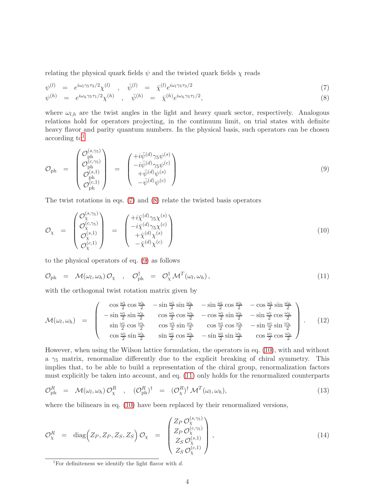relating the physical quark fields  $\psi$  and the twisted quark fields  $\chi$  reads

<span id="page-5-1"></span>
$$
\psi^{(l)} = e^{i\omega_l \gamma_5 \tau_3/2} \chi^{(l)} \quad , \quad \bar{\psi}^{(l)} = \bar{\chi}^{(l)} e^{i\omega_l \gamma_5 \tau_3/2} \tag{7}
$$

$$
\psi^{(h)} = e^{i\omega_h \gamma_5 \tau_1/2} \chi^{(h)}, \quad \bar{\psi}^{(h)} = \bar{\chi}^{(h)} e^{i\omega_h \gamma_5 \tau_1/2}, \tag{8}
$$

where  $\omega_{l,h}$  are the twist angles in the light and heavy quark sector, respectively. Analogous relations hold for operators projecting, in the continuum limit, on trial states with definite heavy flavor and parity quantum numbers. In the physical basis, such operators can be chosen  $according to<sup>1</sup>$  $according to<sup>1</sup>$  $according to<sup>1</sup>$ 

<span id="page-5-2"></span>
$$
\mathcal{O}_{\mathrm{ph}} = \begin{pmatrix} \mathcal{O}_{\mathrm{ph}}^{(s,\gamma_5)} \\ \mathcal{O}_{\mathrm{ph}}^{(c,\gamma_5)} \\ \mathcal{O}_{\mathrm{ph}}^{(s,1)} \\ \mathcal{O}_{\mathrm{ph}}^{(c,1)} \end{pmatrix} = \begin{pmatrix} +i\bar{\psi}^{(d)}\gamma_5\psi^{(s)} \\ -i\bar{\psi}^{(d)}\gamma_5\psi^{(c)} \\ +\bar{\psi}^{(d)}\psi^{(s)} \\ -\bar{\psi}^{(d)}\psi^{(c)} \end{pmatrix}
$$
(9)

The twist rotations in eqs. [\(7\)](#page-5-1) and [\(8\)](#page-5-1) relate the twisted basis operators

<span id="page-5-3"></span>
$$
\mathcal{O}_{\chi} = \begin{pmatrix} \mathcal{O}_{\chi}^{(s,\gamma_5)} \\ \mathcal{O}_{\chi}^{(c,\gamma_5)} \\ \mathcal{O}_{\chi}^{(s,1)} \\ \mathcal{O}_{\chi}^{(c,1)} \end{pmatrix} = \begin{pmatrix} +i\bar{\chi}^{(d)}\gamma_5\chi^{(s)} \\ -i\bar{\chi}^{(d)}\gamma_5\chi^{(c)} \\ +\bar{\chi}^{(d)}\chi^{(s)} \\ -\bar{\chi}^{(d)}\chi^{(c)} \end{pmatrix}
$$
(10)

to the physical operators of eq. [\(9\)](#page-5-2) as follows

<span id="page-5-4"></span>
$$
\mathcal{O}_{\mathrm{ph}} = \mathcal{M}(\omega_l, \omega_h) \mathcal{O}_{\chi} , \quad \mathcal{O}_{\mathrm{ph}}^{\dagger} = \mathcal{O}_{\chi}^{\dagger} \mathcal{M}^T(\omega_l, \omega_h) , \tag{11}
$$

with the orthogonal twist rotation matrix given by

<span id="page-5-7"></span>
$$
\mathcal{M}(\omega_l, \omega_h) = \begin{pmatrix}\n\cos \frac{\omega_l}{2} \cos \frac{\omega_h}{2} & -\sin \frac{\omega_l}{2} \sin \frac{\omega_h}{2} & -\sin \frac{\omega_l}{2} \cos \frac{\omega_h}{2} & -\cos \frac{\omega_l}{2} \sin \frac{\omega_h}{2} \\
-\sin \frac{\omega_l}{2} \sin \frac{\omega_h}{2} & \cos \frac{\omega_l}{2} \cos \frac{\omega_h}{2} & -\cos \frac{\omega_l}{2} \sin \frac{\omega_h}{2} & -\sin \frac{\omega_l}{2} \cos \frac{\omega_h}{2} \\
\sin \frac{\omega_l}{2} \cos \frac{\omega_h}{2} & \cos \frac{\omega_l}{2} \sin \frac{\omega_h}{2} & \cos \frac{\omega_l}{2} \cos \frac{\omega_h}{2} & -\sin \frac{\omega_l}{2} \sin \frac{\omega_h}{2}\n\end{pmatrix} . \quad (12)
$$

However, when using the Wilson lattice formulation, the operators in eq. [\(10\)](#page-5-3), with and without a  $\gamma_5$  matrix, renormalize differently due to the explicit breaking of chiral symmetry. This implies that, to be able to build a representation of the chiral group, renormalization factors must explicitly be taken into account, and eq. [\(11\)](#page-5-4) only holds for the renormalized counterparts

<span id="page-5-5"></span>
$$
\mathcal{O}_{\mathrm{ph}}^R = \mathcal{M}(\omega_l, \omega_h) \mathcal{O}_{\chi}^R , \quad (\mathcal{O}_{\mathrm{ph}}^R)^{\dagger} = (\mathcal{O}_{\chi}^R)^{\dagger} \mathcal{M}^T(\omega_l, \omega_h), \tag{13}
$$

where the bilinears in eq. [\(10\)](#page-5-3) have been replaced by their renormalized versions,

<span id="page-5-6"></span>
$$
\mathcal{O}_{\chi}^{R} = \text{diag}\left(Z_{P}, Z_{P}, Z_{S}, Z_{S}\right) \mathcal{O}_{\chi} = \begin{pmatrix} Z_{P} \mathcal{O}_{\chi}^{(s,\gamma_{5})} \\ Z_{P} \mathcal{O}_{\chi}^{(c,\gamma_{5})} \\ Z_{S} \mathcal{O}_{\chi}^{(s,1)} \\ Z_{S} \mathcal{O}_{\chi}^{(c,1)} \end{pmatrix}, \tag{14}
$$

<span id="page-5-0"></span><sup>&</sup>lt;sup>1</sup>For definiteness we identify the light flavor with  $d$ .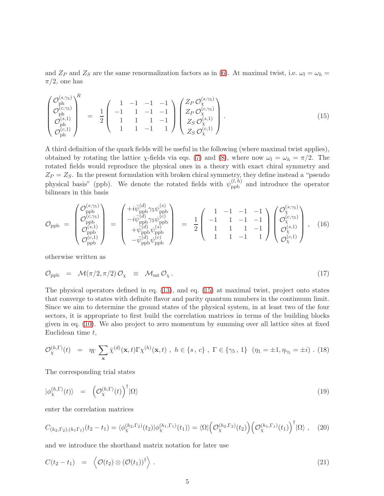and  $Z_P$  and  $Z_S$  are the same renormalization factors as in [\(6\)](#page-3-4). At maximal twist, i.e.  $\omega_l = \omega_h$  $\pi/2$ , one has

<span id="page-6-0"></span>
$$
\begin{pmatrix}\n\mathcal{O}_{\text{ph}}^{(s,\gamma_5)} \\
\mathcal{O}_{\text{ph}}^{(c,\gamma_5)} \\
\mathcal{O}_{\text{ph}}^{(s,1)} \\
\mathcal{O}_{\text{ph}}^{(c,1)}\n\end{pmatrix}^{R} = \frac{1}{2} \begin{pmatrix}\n1 & -1 & -1 & -1 \\
-1 & 1 & -1 & -1 \\
1 & 1 & 1 & -1 \\
1 & 1 & -1 & 1\n\end{pmatrix} \begin{pmatrix}\nZ_P \mathcal{O}_{\chi}^{(s,\gamma_5)} \\
Z_P \mathcal{O}_{\chi}^{(c,\gamma_5)} \\
Z_S \mathcal{O}_{\chi}^{(s,1)} \\
Z_S \mathcal{O}_{\chi}^{(c,1)}\n\end{pmatrix} .
$$
\n(15)

A third definition of the quark fields will be useful in the following (where maximal twist applies), obtained by rotating the lattice  $\chi$ -fields via eqs. [\(7\)](#page-5-1) and [\(8\)](#page-5-1), where now  $\omega_l = \omega_h = \pi/2$ . The rotated fields would reproduce the physical ones in a theory with exact chiral symmetry and  $Z_P = Z_S$ . In the present formulation with broken chiral symmetry, they define instead a "pseudo physical basis" (ppb). We denote the rotated fields with  $\psi_{\text{ppb}}^{(l,h)}$  and introduce the operator bilinears in this basis

<span id="page-6-5"></span>
$$
\mathcal{O}_{\rm ppb} = \begin{pmatrix} \mathcal{O}_{\rm ppb}^{(s,\gamma_5)} \\ \mathcal{O}_{\rm ppb}^{(c,\gamma_5)} \\ \mathcal{O}_{\rm ppb}^{(s,1)} \\ \mathcal{O}_{\rm ppb}^{(c,1)} \end{pmatrix} = \begin{pmatrix} +i\bar{\psi}_{\rm ppb}^{(d)}\gamma_5\psi_{\rm ppb}^{(s)} \\ -i\bar{\psi}_{\rm ppb}^{(d)}\gamma_5\psi_{\rm ppb}^{(c)} \\ +\bar{\psi}_{\rm ppb}^{(d)}\psi_{\rm ppb}^{(s)} \\ -\bar{\psi}_{\rm ppb}^{(d)}\psi_{\rm ppb}^{(c)} \end{pmatrix} = \frac{1}{2} \begin{pmatrix} 1 & -1 & -1 & -1 \\ -1 & 1 & -1 & -1 \\ 1 & 1 & -1 & -1 \\ 1 & 1 & -1 & 1 \end{pmatrix} \begin{pmatrix} \mathcal{O}_{\chi}^{(s,\gamma_5)} \\ \mathcal{O}_{\chi}^{(c,\gamma_5)} \\ \mathcal{O}_{\chi}^{(s,1)} \\ \mathcal{O}_{\chi}^{(c,1)} \end{pmatrix}, \quad (16)
$$

otherwise written as

<span id="page-6-6"></span>
$$
\mathcal{O}_{\text{ppb}} = \mathcal{M}(\pi/2, \pi/2) \mathcal{O}_{\chi} \equiv \mathcal{M}_{\text{mt}} \mathcal{O}_{\chi}.
$$
\n(17)

The physical operators defined in eq. [\(13\)](#page-5-5), and eq. [\(15\)](#page-6-0) at maximal twist, project onto states that converge to states with definite flavor and parity quantum numbers in the continuum limit. Since we aim to determine the ground states of the physical system, in at least two of the four sectors, it is appropriate to first build the correlation matrices in terms of the building blocks given in eq. [\(10\)](#page-5-3). We also project to zero momentum by summing over all lattice sites at fixed Euclidean time  $t$ ,

<span id="page-6-1"></span>
$$
\mathcal{O}_{\chi}^{(h,\Gamma)}(t) = \eta_{\Gamma} \sum_{\mathbf{x}} \bar{\chi}^{(d)}(\mathbf{x},t) \Gamma \chi^{(h)}(\mathbf{x},t) , h \in \{s, c\} , \Gamma \in \{\gamma_5, 1\} \ (\eta_1 = \pm 1, \eta_{\gamma_5} = \pm i) . (18)
$$

The corresponding trial states

<span id="page-6-4"></span>
$$
|\phi_{\chi}^{(h,\Gamma)}(t)\rangle = \left(\mathcal{O}_{\chi}^{(h,\Gamma)}(t)\right)^{\dagger}|\Omega\rangle \tag{19}
$$

enter the correlation matrices

<span id="page-6-3"></span>
$$
C_{(h_2,\Gamma_2),(h_1\Gamma_1)}(t_2-t_1) = \langle \phi_{\chi}^{(h_2,\Gamma_2)}(t_2) | \phi_{\chi}^{(h_1,\Gamma_1)}(t_1) \rangle = \langle \Omega | \left( \mathcal{O}_{\chi}^{(h_2,\Gamma_2)}(t_2) \right) \left( \mathcal{O}_{\chi}^{(h_1,\Gamma_1)}(t_1) \right)^{\dagger} | \Omega \rangle , \quad (20)
$$

and we introduce the shorthand matrix notation for later use

<span id="page-6-2"></span>
$$
C(t_2 - t_1) = \left\langle \mathcal{O}(t_2) \otimes (\mathcal{O}(t_1))^{\dagger} \right\rangle.
$$
 (21)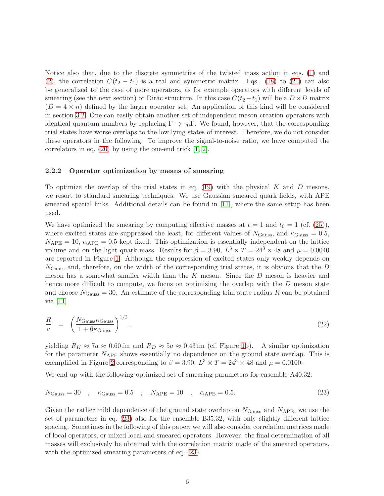Notice also that, due to the discrete symmetries of the twisted mass action in eqs. [\(1\)](#page-3-1) and [\(2\)](#page-3-3), the correlation  $C(t_2 - t_1)$  is a real and symmetric matrix. Eqs. [\(18\)](#page-6-1) to [\(21\)](#page-6-2) can also be generalized to the case of more operators, as for example operators with different levels of smearing (see the next section) or Dirac structure. In this case  $C(t_2-t_1)$  will be a  $D \times D$  matrix  $(D = 4 \times n)$  defined by the larger operator set. An application of this kind will be considered in section [3.2.](#page-12-0) One can easily obtain another set of independent meson creation operators with identical quantum numbers by replacing  $\Gamma \to \gamma_0 \Gamma$ . We found, however, that the corresponding trial states have worse overlaps to the low lying states of interest. Therefore, we do not consider these operators in the following. To improve the signal-to-noise ratio, we have computed the correlators in eq. [\(20\)](#page-6-3) by using the one-end trick [\[1,](#page-28-0) [2\]](#page-28-1).

#### 2.2.2 Operator optimization by means of smearing

To optimize the overlap of the trial states in eq. [\(19\)](#page-6-4) with the physical  $K$  and  $D$  mesons, we resort to standard smearing techniques. We use Gaussian smeared quark fields, with APE smeared spatial links. Additional details can be found in [\[11\]](#page-28-10), where the same setup has been used.

We have optimized the smearing by computing effective masses at  $t = 1$  and  $t_0 = 1$  (cf. [\(25\)](#page-8-1)), where excited states are suppressed the least, for different values of  $N_{\text{Gauss}}$ , and  $\kappa_{\text{Gauss}} = 0.5$ ,  $N_{\text{APE}} = 10$ ,  $\alpha_{\text{APE}} = 0.5$  kept fixed. This optimization is essentially independent on the lattice volume and on the light quark mass. Results for  $\beta = 3.90, L^3 \times T = 24^3 \times 48$  and  $\mu = 0.0040$ are reported in Figure [1.](#page-8-2) Although the suppression of excited states only weakly depends on  $N_{\text{Gauss}}$  and, therefore, on the width of the corresponding trial states, it is obvious that the D meson has a somewhat smaller width than the K meson. Since the D meson is heavier and hence more difficult to compute, we focus on optimizing the overlap with the D meson state and choose  $N_{\text{Gauss}} = 30$ . An estimate of the corresponding trial state radius R can be obtained via [\[11\]](#page-28-10)

$$
\frac{R}{a} = \left(\frac{N_{\text{Gauss}}\kappa_{\text{Gauss}}}{1 + 6\kappa_{\text{Gauss}}}\right)^{1/2},\tag{22}
$$

yielding  $R_K \approx 7a \approx 0.60$  fm and  $R_D \approx 5a \approx 0.43$  fm (cf. Figure [1b](#page-8-2)). A similar optimization for the parameter  $N_{\text{APE}}$  shows essentially no dependence on the ground state overlap. This is exemplified in Figure [2](#page-9-0) corresponding to  $\beta = 3.90, L^3 \times T = 24^3 \times 48$  and  $\mu = 0.0100$ .

We end up with the following optimized set of smearing parameters for ensemble A40.32:

<span id="page-7-0"></span>
$$
N_{\text{Gauss}} = 30 \quad , \quad \kappa_{\text{Gauss}} = 0.5 \quad , \quad N_{\text{APE}} = 10 \quad , \quad \alpha_{\text{APE}} = 0.5. \tag{23}
$$

Given the rather mild dependence of the ground state overlap on  $N_{\text{Gauss}}$  and  $N_{\text{APE}}$ , we use the set of parameters in eq. [\(23\)](#page-7-0) also for the ensemble B35.32, with only slightly different lattice spacing. Sometimes in the following of this paper, we will also consider correlation matrices made of local operators, or mixed local and smeared operators. However, the final determination of all masses will exclusively be obtained with the correlation matrix made of the smeared operators, with the optimized smearing parameters of eq. [\(23\)](#page-7-0).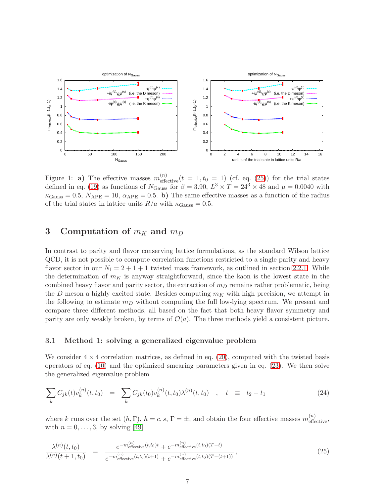

<span id="page-8-2"></span>Figure 1: **a**) The effective masses  $m_{\text{effective}}^{(n)}(t = 1, t_0 = 1)$  (cf. eq. [\(25\)](#page-8-1)) for the trial states defined in eq. [\(19\)](#page-6-4) as functions of  $N_{\text{Gauss}}$  for  $\beta = 3.90, L^3 \times T = 24^3 \times 48$  and  $\mu = 0.0040$  with  $\kappa_{\text{Gauss}} = 0.5, N_{\text{APE}} = 10, \alpha_{\text{APE}} = 0.5.$  b) The same effective masses as a function of the radius of the trial states in lattice units  $R/a$  with  $\kappa_{\text{Gauss}} = 0.5$ .

# <span id="page-8-0"></span>3 Computation of  $m_K$  and  $m_D$

In contrast to parity and flavor conserving lattice formulations, as the standard Wilson lattice QCD, it is not possible to compute correlation functions restricted to a single parity and heavy flavor sector in our  $N_f = 2 + 1 + 1$  twisted mass framework, as outlined in section [2.2.1.](#page-4-1) While the determination of  $m<sub>K</sub>$  is anyway straightforward, since the kaon is the lowest state in the combined heavy flavor and parity sector, the extraction of  $m<sub>D</sub>$  remains rather problematic, being the D meson a highly excited state. Besides computing  $m<sub>K</sub>$  with high precision, we attempt in the following to estimate  $m<sub>D</sub>$  without computing the full low-lying spectrum. We present and compare three different methods, all based on the fact that both heavy flavor symmetry and parity are only weakly broken, by terms of  $\mathcal{O}(a)$ . The three methods yield a consistent picture.

### <span id="page-8-4"></span>3.1 Method 1: solving a generalized eigenvalue problem

We consider  $4 \times 4$  correlation matrices, as defined in eq. [\(20\)](#page-6-3), computed with the twisted basis operators of eq. [\(10\)](#page-5-3) and the optimized smearing parameters given in eq. [\(23\)](#page-7-0). We then solve the generalized eigenvalue problem

<span id="page-8-3"></span>
$$
\sum_{k} C_{jk}(t) v_k^{(n)}(t, t_0) = \sum_{k} C_{jk}(t_0) v_k^{(n)}(t, t_0) \lambda^{(n)}(t, t_0) , \quad t \equiv t_2 - t_1 \tag{24}
$$

where k runs over the set  $(h, \Gamma)$ ,  $h = c, s, \Gamma = \pm$ , and obtain the four effective masses  $m_{\text{effective}}^{(n)}$ , with  $n = 0, \ldots, 3$ , by solving [\[49\]](#page-31-3)

<span id="page-8-1"></span>
$$
\frac{\lambda^{(n)}(t,t_0)}{\lambda^{(n)}(t+1,t_0)} = \frac{e^{-m_{\text{effective}}^{(n)}(t,t_0)t} + e^{-m_{\text{effective}}^{(n)}(t,t_0)(T-t)}}{e^{-m_{\text{effective}}^{(n)}(t,t_0)(t+1)} + e^{-m_{\text{effective}}^{(n)}(t,t_0)(T-(t+1))}},\tag{25}
$$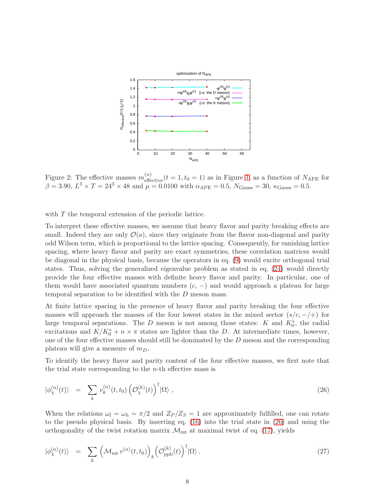

<span id="page-9-0"></span>Figure 2: The effective masses  $m_{\text{effective}}^{(n)}(t=1,t_0=1)$  as in Figure [1,](#page-8-2) as a function of  $N_{\text{APE}}$  for  $\beta = 3.90, L^3 \times T = 24^3 \times 48$  and  $\mu = 0.0100$  with  $\alpha_{\text{APE}} = 0.5, N_{\text{Gauss}} = 30, \kappa_{\text{Gauss}} = 0.5$ .

with T the temporal extension of the periodic lattice.

To interpret these effective masses, we assume that heavy flavor and parity breaking effects are small. Indeed they are only  $\mathcal{O}(a)$ , since they originate from the flavor non-diagonal and parity odd Wilson term, which is proportional to the lattice spacing. Consequently, for vanishing lattice spacing, where heavy flavor and parity are exact symmetries, these correlation matrices would be diagonal in the physical basis, because the operators in eq. [\(9\)](#page-5-2) would excite orthogonal trial states. Thus, solving the generalized eigenvalue problem as stated in eq. [\(24\)](#page-8-3) would directly provide the four effective masses with definite heavy flavor and parity. In particular, one of them would have associated quantum numbers  $(c, -)$  and would approach a plateau for large temporal separation to be identified with the D meson mass.

At finite lattice spacing in the presence of heavy flavor and parity breaking the four effective masses will approach the masses of the four lowest states in the mixed sector  $(s/c, -/+)$  for large temporal separations. The D meson is not among those states: K and  $K_0^*$ , the radial excitations and  $K/K_0^* + n \times \pi$  states are lighter than the D. At intermediate times, however, one of the four effective masses should still be dominated by the  $D$  meson and the corresponding plateau will give a measure of  $m_D$ .

To identify the heavy flavor and parity content of the four effective masses, we first note that the trial state corresponding to the  $n$ -th effective mass is

<span id="page-9-1"></span>
$$
|\phi_{\chi}^{(n)}(t)\rangle = \sum_{k} v_{k}^{(n)}(t, t_{0}) \left(\mathcal{O}_{\chi}^{(k)}(t)\right)^{\dagger} |\Omega\rangle , \qquad (26)
$$

When the relations  $\omega_l = \omega_h = \pi/2$  and  $Z_P/Z_S = 1$  are approximately fulfilled, one can rotate to the pseudo physical basis. By inserting eq. [\(16\)](#page-6-5) into the trial state in [\(26\)](#page-9-1) and using the orthogonality of the twist rotation matrix  $\mathcal{M}_{\text{mt}}$  at maximal twist of eq. [\(17\)](#page-6-6), yields

<span id="page-9-2"></span>
$$
|\phi_{\chi}^{(n)}(t)\rangle = \sum_{k} \left( \mathcal{M}_{\rm mt} \, v^{(n)}(t, t_0) \right)_k \left( \mathcal{O}_{\rm ppb}^{(k)}(t) \right)^{\dagger} |\Omega\rangle. \tag{27}
$$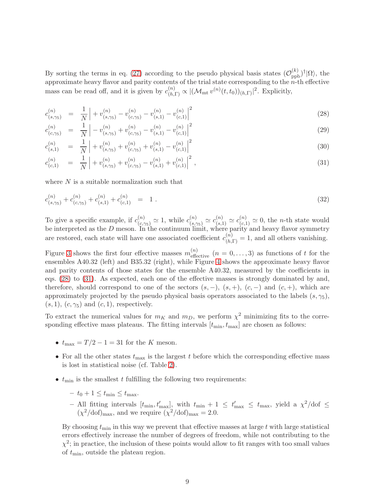By sorting the terms in eq. [\(27\)](#page-9-2) according to the pseudo physical basis states  $(\mathcal{O}_{\text{ppb}}^{(k)})^{\dagger}|\Omega\rangle$ , the approximate heavy flavor and parity contents of the trial state corresponding to the  $n$ -th effective mass can be read off, and it is given by  $c_{(h,\Gamma)}^{(n)} \propto |(\mathcal{M}_{\text{mt}} v^{(n)}(t,t_0))_{(h,\Gamma)}|^2$ . Explicitly,

<span id="page-10-0"></span>
$$
c_{(s,\gamma_5)}^{(n)} = \frac{1}{N} \left| + v_{(s,\gamma_5)}^{(n)} - v_{(c,\gamma_5)}^{(n)} - v_{(s,1)}^{(n)} - v_{(c,1)}^{(n)} \right|^2 \tag{28}
$$

$$
c_{(c,\gamma_5)}^{(n)} = \frac{1}{N} \left| -v_{(s,\gamma_5)}^{(n)} + v_{(c,\gamma_5)}^{(n)} - v_{(s,1)}^{(n)} - v_{(c,1)}^{(n)} \right|^2 \tag{29}
$$

$$
c_{(s,1)}^{(n)} = \frac{1}{N} \Big| + v_{(s,\gamma_5)}^{(n)} + v_{(c,\gamma_5)}^{(n)} + v_{(s,1)}^{(n)} - v_{(c,1)}^{(n)} \Big|^2 \tag{30}
$$

$$
c_{(c,1)}^{(n)} = \frac{1}{N} \left| + v_{(s,\gamma_5)}^{(n)} + v_{(c,\gamma_5)}^{(n)} - v_{(s,1)}^{(n)} + v_{(c,1)}^{(n)} \right|^2,
$$
\n(31)

where  $N$  is a suitable normalization such that

$$
c_{(s,\gamma_5)}^{(n)} + c_{(c,\gamma_5)}^{(n)} + c_{(s,1)}^{(n)} + c_{(c,1)}^{(n)} = 1.
$$
\n(32)

To give a specific example, if  $c_{(c,\gamma_5)}^{(n)} \simeq 1$ , while  $c_{(s,\gamma_5)}^{(n)} \simeq c_{(s,1)}^{(n)} \simeq c_{(c,1)}^{(n)} \simeq 0$ , the *n*-th state would be interpreted as the  $D$  meson. In the continuum limit, where parity and heavy flavor symmetry are restored, each state will have one associated coefficient  $c_{(h,\Gamma)}^{(n)} = 1$ , and all others vanishing.

Figure [3](#page-11-0) shows the first four effective masses  $m_{\text{effective}}^{(n)}$   $(n = 0, \ldots, 3)$  as functions of t for the ensembles A40.32 (left) and B35.32 (right), while Figure [4](#page-12-1) shows the approximate heavy flavor and parity contents of those states for the ensemble A40.32, measured by the coefficients in eqs. [\(28\)](#page-10-0) to [\(31\)](#page-10-0). As expected, each one of the effective masses is strongly dominated by and, therefore, should correspond to one of the sectors  $(s, -)$ ,  $(s, +)$ ,  $(c, -)$  and  $(c, +)$ , which are approximately projected by the pseudo physical basis operators associated to the labels  $(s, \gamma_5)$ ,  $(s, 1), (c, \gamma_5)$  and  $(c, 1)$ , respectively.

To extract the numerical values for  $m_K$  and  $m_D$ , we perform  $\chi^2$  minimizing fits to the corresponding effective mass plateaus. The fitting intervals  $[t_{\min}, t_{\max}]$  are chosen as follows:

- $t_{\text{max}} = T/2 1 = 31$  for the K meson.
- For all the other states  $t_{\text{max}}$  is the largest t before which the corresponding effective mass is lost in statistical noise (cf. Table [2\)](#page-13-0).
- $\bullet$   $t_{\text{min}}$  is the smallest t fulfilling the following two requirements:
	- $t_0 + 1 \leq t_{\min} \leq t_{\max}$ .
	- All fitting intervals  $[t_{\min}, t'_{\max}]$ , with  $t_{\min} + 1 \leq t'_{\max} \leq t_{\max}$ , yield a  $\chi^2/\text{dof} \leq$  $(\chi^2/\text{dof})_{\text{max}}$ , and we require  $(\chi^2/\text{dof})_{\text{max}} = 2.0$ .

By choosing  $t_{\min}$  in this way we prevent that effective masses at large t with large statistical errors effectively increase the number of degrees of freedom, while not contributing to the  $\chi^2$ ; in practice, the inclusion of these points would allow to fit ranges with too small values of  $t_{\text{min}}$ , outside the plateau region.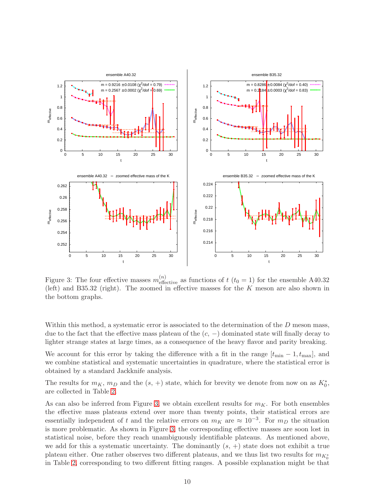

<span id="page-11-0"></span>Figure 3: The four effective masses  $m_{\text{effective}}^{(n)}$  as functions of  $t$  ( $t_0 = 1$ ) for the ensemble A40.32 (left) and B35.32 (right). The zoomed in effective masses for the  $K$  meson are also shown in the bottom graphs.

Within this method, a systematic error is associated to the determination of the  $D$  meson mass, due to the fact that the effective mass plateau of the  $(c, -)$  dominated state will finally decay to lighter strange states at large times, as a consequence of the heavy flavor and parity breaking.

We account for this error by taking the difference with a fit in the range  $[t_{\min} - 1, t_{\max}]$ , and we combine statistical and systematic uncertainties in quadrature, where the statistical error is obtained by a standard Jackknife analysis.

The results for  $m_K$ ,  $m_D$  and the  $(s, +)$  state, which for brevity we denote from now on as  $K_0^*$ , are collected in Table [2.](#page-13-0)

As can also be inferred from Figure [3,](#page-11-0) we obtain excellent results for  $m<sub>K</sub>$ . For both ensembles the effective mass plateaus extend over more than twenty points, their statistical errors are essentially independent of t and the relative errors on  $m_K$  are  $\approx 10^{-3}$ . For  $m_D$  the situation is more problematic. As shown in Figure [3,](#page-11-0) the corresponding effective masses are soon lost in statistical noise, before they reach unambiguously identifiable plateaus. As mentioned above, we add for this a systematic uncertainty. The dominantly  $(s, +)$  state does not exhibit a true plateau either. One rather observes two different plateaus, and we thus list two results for  $m_{K_0^*}$ in Table [2,](#page-13-0) corresponding to two different fitting ranges. A possible explanation might be that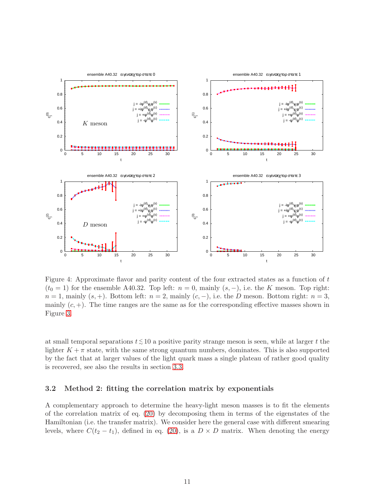

<span id="page-12-1"></span>Figure 4: Approximate flavor and parity content of the four extracted states as a function of t  $(t_0 = 1)$  for the ensemble A40.32. Top left:  $n = 0$ , mainly  $(s, -)$ , i.e. the K meson. Top right:  $n = 1$ , mainly  $(s, +)$ . Bottom left:  $n = 2$ , mainly  $(c, -)$ , i.e. the D meson. Bottom right:  $n = 3$ , mainly  $(c, +)$ . The time ranges are the same as for the corresponding effective masses shown in Figure [3.](#page-11-0)

at small temporal separations  $t \lesssim 10$  a positive parity strange meson is seen, while at larger t the lighter  $K + \pi$  state, with the same strong quantum numbers, dominates. This is also supported by the fact that at larger values of the light quark mass a single plateau of rather good quality is recovered, see also the results in section [3.3.](#page-17-0)

### <span id="page-12-0"></span>3.2 Method 2: fitting the correlation matrix by exponentials

A complementary approach to determine the heavy-light meson masses is to fit the elements of the correlation matrix of eq. [\(20\)](#page-6-3) by decomposing them in terms of the eigenstates of the Hamiltonian (i.e. the transfer matrix). We consider here the general case with different smearing levels, where  $C(t_2 - t_1)$ , defined in eq. [\(20\)](#page-6-3), is a  $D \times D$  matrix. When denoting the energy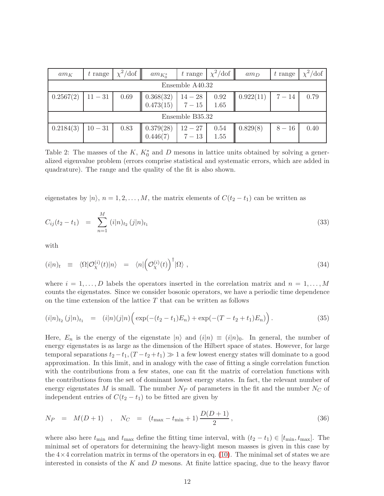| $am_K$          | $t$ range       | $\chi^2/\text{dof}$ | $am_{K_0^*}$                                                                      |  | t range $\left  \chi^2/\text{dof} \right $  | $am_D$    | $t$ range | $\chi^2$ /dof |
|-----------------|-----------------|---------------------|-----------------------------------------------------------------------------------|--|---------------------------------------------|-----------|-----------|---------------|
|                 | Ensemble A40.32 |                     |                                                                                   |  |                                             |           |           |               |
| 0.2567(2)       | $11 - 31$       | 0.69                | $\begin{array}{c c} 0.368(32) & 14-28 \\ 0.473(15) & 7-15 \end{array}$            |  | $\begin{array}{c} 0.92 \\ 1.65 \end{array}$ | 0.922(11) | $7 - 14$  | 0.79          |
| Ensemble B35.32 |                 |                     |                                                                                   |  |                                             |           |           |               |
| 0.2184(3)       | $10 - 31$       | 0.83                | $\begin{array}{c c} 0.379(28) & 12-27 \\ 0.446(7) & 7-13 \end{array}$<br>0.446(7) |  | $\begin{array}{c} 0.54 \\ 1.55 \end{array}$ | 0.829(8)  | $8 - 16$  | 0.40          |

<span id="page-13-0"></span>Table 2: The masses of the  $K, K_0^*$  and D mesons in lattice units obtained by solving a generalized eigenvalue problem (errors comprise statistical and systematic errors, which are added in quadrature). The range and the quality of the fit is also shown.

eigenstates by  $|n\rangle$ ,  $n = 1, 2, ..., M$ , the matrix elements of  $C(t_2 - t_1)$  can be written as

<span id="page-13-1"></span>
$$
C_{ij}(t_2 - t_1) = \sum_{n=1}^{M} (i|n)_{t_2} (j|n)_{t_1}
$$
\n(33)

with

<span id="page-13-3"></span>
$$
(i|n)_t \equiv \langle \Omega | \mathcal{O}_\chi^{(i)}(t) | n \rangle = \langle n | \left( \mathcal{O}_\chi^{(i)}(t) \right)^\dagger | \Omega \rangle , \qquad (34)
$$

where  $i = 1, \ldots, D$  labels the operators inserted in the correlation matrix and  $n = 1, \ldots, M$ counts the eigenstates. Since we consider bosonic operators, we have a periodic time dependence on the time extension of the lattice  $T$  that can be written as follows

<span id="page-13-2"></span>
$$
(i|n)_{t_2} (j|n)_{t_1} = (i|n) (j|n) \Big( \exp(-(t_2 - t_1)E_n) + \exp(-(T - t_2 + t_1)E_n) \Big). \tag{35}
$$

Here,  $E_n$  is the energy of the eigenstate  $|n\rangle$  and  $(i|n) \equiv (i|n)_0$ . In general, the number of energy eigenstates is as large as the dimension of the Hilbert space of states. However, for large temporal separations  $t_2 - t_1$ ,  $(T - t_2 + t_1) \gg 1$  a few lowest energy states will dominate to a good approximation. In this limit, and in analogy with the case of fitting a single correlation function with the contributions from a few states, one can fit the matrix of correlation functions with the contributions from the set of dominant lowest energy states. In fact, the relevant number of energy eigenstates  $M$  is small. The number  $N_P$  of parameters in the fit and the number  $N_C$  of independent entries of  $C(t_2 - t_1)$  to be fitted are given by

$$
N_P = M(D+1) , N_C = (t_{\text{max}} - t_{\text{min}} + 1) \frac{D(D+1)}{2}, \qquad (36)
$$

where also here  $t_{\min}$  and  $t_{\max}$  define the fitting time interval, with  $(t_2 - t_1) \in [t_{\min}, t_{\max}]$ . The minimal set of operators for determining the heavy-light meson masses is given in this case by the  $4\times4$  correlation matrix in terms of the operators in eq. [\(10\)](#page-5-3). The minimal set of states we are interested in consists of the  $K$  and  $D$  mesons. At finite lattice spacing, due to the heavy flavor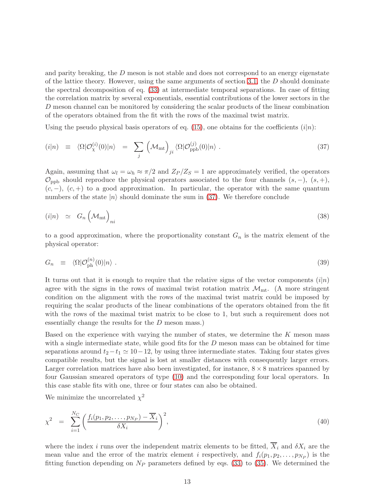and parity breaking, the  $D$  meson is not stable and does not correspond to an energy eigenstate of the lattice theory. However, using the same arguments of section [3.1,](#page-8-4) the  $D$  should dominate the spectral decomposition of eq. [\(33\)](#page-13-1) at intermediate temporal separations. In case of fitting the correlation matrix by several exponentials, essential contributions of the lower sectors in the D meson channel can be monitored by considering the scalar products of the linear combination of the operators obtained from the fit with the rows of the maximal twist matrix.

Using the pseudo physical basis operators of eq. [\(15\)](#page-6-0), one obtains for the coefficients  $(i|n)$ :

<span id="page-14-0"></span>
$$
(i|n) \equiv \langle \Omega | \mathcal{O}_{\chi}^{(i)}(0) | n \rangle = \sum_{j} \left( \mathcal{M}_{\text{mt}} \right)_{ji} \langle \Omega | \mathcal{O}_{\text{ppb}}^{(j)}(0) | n \rangle . \tag{37}
$$

Again, assuming that  $\omega_l = \omega_h \approx \pi/2$  and  $Z_P/Z_S = 1$  are approximately verified, the operators  $\mathcal{O}_{\text{ppb}}$  should reproduce the physical operators associated to the four channels  $(s, -)$ ,  $(s, +)$ ,  $(c, -)$ ,  $(c, +)$  to a good approximation. In particular, the operator with the same quantum numbers of the state  $|n\rangle$  should dominate the sum in [\(37\)](#page-14-0). We therefore conclude

$$
(i|n) \simeq G_n \left( \mathcal{M}_{\text{mt}} \right)_{ni} \tag{38}
$$

to a good approximation, where the proportionality constant  $G_n$  is the matrix element of the physical operator:

$$
G_n \equiv \langle \Omega | \mathcal{O}_{\rm ph}^{(n)}(0) | n \rangle . \tag{39}
$$

It turns out that it is enough to require that the relative signs of the vector components  $(i|n)$ agree with the signs in the rows of maximal twist rotation matrix  $\mathcal{M}_{\text{mt}}$ . (A more stringent condition on the alignment with the rows of the maximal twist matrix could be imposed by requiring the scalar products of the linear combinations of the operators obtained from the fit with the rows of the maximal twist matrix to be close to 1, but such a requirement does not essentially change the results for the D meson mass.)

Based on the experience with varying the number of states, we determine the  $K$  meson mass with a single intermediate state, while good fits for the  $D$  meson mass can be obtained for time separations around  $t_2-t_1 \simeq 10-12$ , by using three intermediate states. Taking four states gives compatible results, but the signal is lost at smaller distances with consequently larger errors. Larger correlation matrices have also been investigated, for instance,  $8 \times 8$  matrices spanned by four Gaussian smeared operators of type [\(10\)](#page-5-3) and the corresponding four local operators. In this case stable fits with one, three or four states can also be obtained.

We minimize the uncorrelated  $\chi^2$ 

$$
\chi^2 = \sum_{i=1}^{N_C} \left( \frac{f_i(p_1, p_2, \dots, p_{N_P}) - \overline{X}_i}{\delta X_i} \right)^2, \tag{40}
$$

where the index i runs over the independent matrix elements to be fitted,  $\overline{X}_i$  and  $\delta X_i$  are the mean value and the error of the matrix element i respectively, and  $f_i(p_1, p_2, \ldots, p_{N_P})$  is the fitting function depending on  $N_P$  parameters defined by eqs. [\(33\)](#page-13-1) to [\(35\)](#page-13-2). We determined the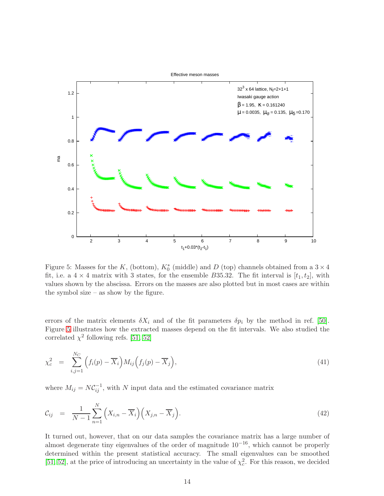

<span id="page-15-0"></span>Figure 5: Masses for the K, (bottom),  $K_0^*$  (middle) and D (top) channels obtained from a  $3 \times 4$ fit, i.e. a  $4 \times 4$  matrix with 3 states, for the ensemble B35.32. The fit interval is  $[t_1, t_2]$ , with values shown by the abscissa. Errors on the masses are also plotted but in most cases are within the symbol size – as show by the figure.

errors of the matrix elements  $\delta X_i$  and of the fit parameters  $\delta p_i$  by the method in ref. [\[50\]](#page-31-4). Figure [5](#page-15-0) illustrates how the extracted masses depend on the fit intervals. We also studied the correlated  $\chi^2$  following refs. [\[51,](#page-31-5) [52\]](#page-31-6)

$$
\chi_c^2 = \sum_{i,j=1}^{N_C} \left( f_i(p) - \overline{X}_i \right) M_{ij} \left( f_j(p) - \overline{X}_j \right), \tag{41}
$$

where  $M_{ij} = N C_{ij}^{-1}$ , with N input data and the estimated covariance matrix

$$
\mathcal{C}_{ij} = \frac{1}{N-1} \sum_{n=1}^{N} \left( X_{i,n} - \overline{X}_i \right) \left( X_{j,n} - \overline{X}_j \right). \tag{42}
$$

It turned out, however, that on our data samples the covariance matrix has a large number of almost degenerate tiny eigenvalues of the order of magnitude  $10^{-16}$ , which cannot be properly determined within the present statistical accuracy. The small eigenvalues can be smoothed [\[51,](#page-31-5) [52\]](#page-31-6), at the price of introducing an uncertainty in the value of  $\chi_c^2$ . For this reason, we decided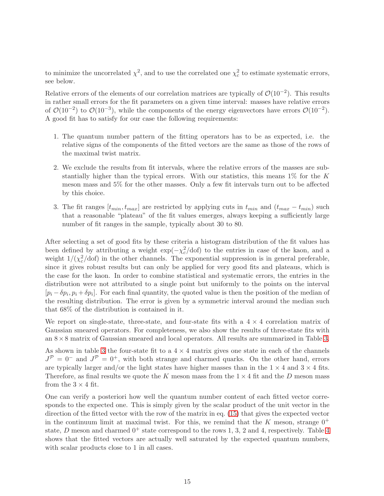to minimize the uncorrelated  $\chi^2$ , and to use the correlated one  $\chi^2_c$  to estimate systematic errors, see below.

Relative errors of the elements of our correlation matrices are typically of  $\mathcal{O}(10^{-2})$ . This results in rather small errors for the fit parameters on a given time interval: masses have relative errors of  $\mathcal{O}(10^{-2})$  to  $\mathcal{O}(10^{-3})$ , while the components of the energy eigenvectors have errors  $\mathcal{O}(10^{-2})$ . A good fit has to satisfy for our case the following requirements:

- 1. The quantum number pattern of the fitting operators has to be as expected, i.e. the relative signs of the components of the fitted vectors are the same as those of the rows of the maximal twist matrix.
- 2. We exclude the results from fit intervals, where the relative errors of the masses are substantially higher than the typical errors. With our statistics, this means  $1\%$  for the K meson mass and 5% for the other masses. Only a few fit intervals turn out to be affected by this choice.
- 3. The fit ranges  $[t_{min}, t_{max}]$  are restricted by applying cuts in  $t_{min}$  and  $(t_{max} t_{min})$  such that a reasonable "plateau" of the fit values emerges, always keeping a sufficiently large number of fit ranges in the sample, typically about 30 to 80.

After selecting a set of good fits by these criteria a histogram distribution of the fit values has been defined by attributing a weight  $\exp(-\chi_c^2/dof)$  to the entries in case of the kaon, and a weight  $1/(\chi_c^2/\text{dof})$  in the other channels. The exponential suppression is in general preferable, since it gives robust results but can only be applied for very good fits and plateaus, which is the case for the kaon. In order to combine statistical and systematic errors, the entries in the distribution were not attributed to a single point but uniformly to the points on the interval  $[p_i - \delta p_i, p_i + \delta p_i]$ . For each final quantity, the quoted value is then the position of the median of the resulting distribution. The error is given by a symmetric interval around the median such that 68% of the distribution is contained in it.

We report on single-state, three-state, and four-state fits with a  $4 \times 4$  correlation matrix of Gaussian smeared operators. For completeness, we also show the results of three-state fits with an  $8\times 8$  matrix of Gaussian smeared and local operators. All results are summarized in Table [3.](#page-17-1)

As shown in table [3](#page-17-1) the four-state fit to a  $4 \times 4$  matrix gives one state in each of the channels  $J^{\mathcal{P}}=0^-$  and  $J^{\mathcal{P}}=0^+$ , with both strange and charmed quarks. On the other hand, errors are typically larger and/or the light states have higher masses than in the  $1 \times 4$  and  $3 \times 4$  fits. Therefore, as final results we quote the K meson mass from the  $1 \times 4$  fit and the D meson mass from the  $3 \times 4$  fit.

One can verify a posteriori how well the quantum number content of each fitted vector corresponds to the expected one. This is simply given by the scalar product of the unit vector in the direction of the fitted vector with the row of the matrix in eq. [\(15\)](#page-6-0) that gives the expected vector in the continuum limit at maximal twist. For this, we remind that the K meson, strange  $0^+$ state, D meson and charmed  $0^+$  state correspond to the rows 1, 3, 2 and [4](#page-17-2), respectively. Table 4 shows that the fitted vectors are actually well saturated by the expected quantum numbers, with scalar products close to 1 in all cases.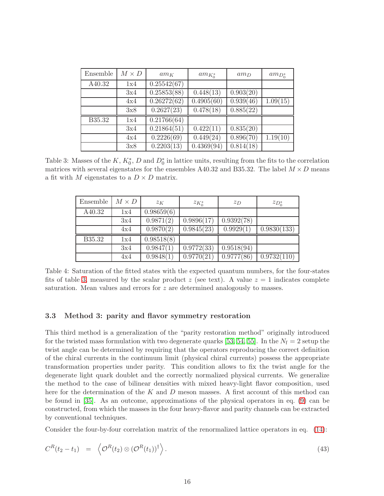| Ensemble | $M \times D$ | $am_K$      | $am_{K_0^*}$ | $am_D$    | $am_{D_0^*}$ |
|----------|--------------|-------------|--------------|-----------|--------------|
| A40.32   | 1x4          | 0.25542(67) |              |           |              |
|          | 3x4          | 0.25853(88) | 0.448(13)    | 0.903(20) |              |
|          | 4x4          | 0.26272(62) | 0.4905(60)   | 0.939(46) | 1.09(15)     |
|          | 3x8          | 0.2627(23)  | 0.478(18)    | 0.885(22) |              |
| B35.32   | 1x4          | 0.21766(64) |              |           |              |
|          | 3x4          | 0.21864(51) | 0.422(11)    | 0.835(20) |              |
|          | 4x4          | 0.2226(69)  | 0.449(24)    | 0.896(70) | 1.19(10)     |
|          | 3x8          | 0.2203(13)  | 0.4369(94)   | 0.814(18) |              |

<span id="page-17-1"></span>Table 3: Masses of the  $K, K_0^*$ , D and  $D_0^*$  in lattice units, resulting from the fits to the correlation matrices with several eigenstates for the ensembles A40.32 and B35.32. The label  $M \times D$  means a fit with M eigenstates to a  $D \times D$  matrix.

| Ensemble | $M \times D$ | $z_K$      | $z_{K_0^*}$ | $z_D$      | $z_{D_0^*}$ |
|----------|--------------|------------|-------------|------------|-------------|
| A40.32   | 1x4          | 0.98659(6) |             |            |             |
|          | 3x4          | 0.9871(2)  | 0.9896(17)  | 0.9392(78) |             |
|          | 4x4          | 0.9870(2)  | 0.9845(23)  | 0.9929(1)  | 0.9830(133) |
| B35.32   | 1x4          | 0.98518(8) |             |            |             |
|          | 3x4          | 0.9847(1)  | 0.9772(33)  | 0.9518(94) |             |
|          | 4x4          | 0.9848(1)  | 0.9770(21)  | 0.9777(86) | 0.9732(110) |

<span id="page-17-2"></span>Table 4: Saturation of the fitted states with the expected quantum numbers, for the four-states fits of table [3,](#page-17-1) measured by the scalar product z (see text). A value  $z = 1$  indicates complete saturation. Mean values and errors for z are determined analogously to masses.

### <span id="page-17-0"></span>3.3 Method 3: parity and flavor symmetry restoration

This third method is a generalization of the "parity restoration method" originally introduced for the twisted mass formulation with two degenerate quarks [\[53,](#page-31-7) [54,](#page-31-8) [55\]](#page-31-9). In the  $N_f = 2$  setup the twist angle can be determined by requiring that the operators reproducing the correct definition of the chiral currents in the continuum limit (physical chiral currents) possess the appropriate transformation properties under parity. This condition allows to fix the twist angle for the degenerate light quark doublet and the correctly normalized physical currents. We generalize the method to the case of bilinear densities with mixed heavy-light flavor composition, used here for the determination of the  $K$  and  $D$  meson masses. A first account of this method can be found in [\[35\]](#page-30-6). As an outcome, approximations of the physical operators in eq. [\(9\)](#page-5-2) can be constructed, from which the masses in the four heavy-flavor and parity channels can be extracted by conventional techniques.

Consider the four-by-four correlation matrix of the renormalized lattice operators in eq. [\(14\)](#page-5-6):

<span id="page-17-3"></span>
$$
C^{R}(t_2 - t_1) = \left\langle \mathcal{O}^{R}(t_2) \otimes (\mathcal{O}^{R}(t_1))^{\dagger} \right\rangle.
$$
\n(43)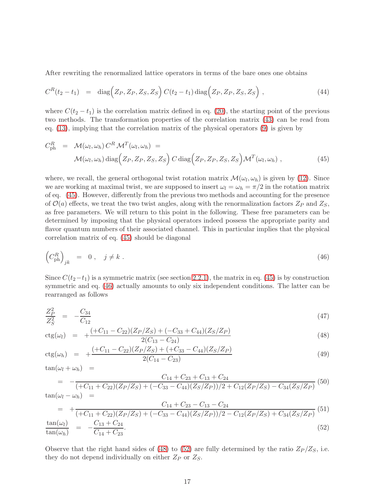After rewriting the renormalized lattice operators in terms of the bare ones one obtains

$$
C^{R}(t_2-t_1) = \text{diag}\Big(Z_P, Z_P, Z_S, Z_S\Big) C(t_2-t_1) \text{diag}\Big(Z_P, Z_P, Z_S, Z_S\Big) ,\qquad (44)
$$

where  $C(t_2 - t_1)$  is the correlation matrix defined in eq. [\(20\)](#page-6-3), the starting point of the previous two methods. The transformation properties of the correlation matrix [\(43\)](#page-17-3) can be read from eq.  $(13)$ , implying that the correlation matrix of the physical operators  $(9)$  is given by

<span id="page-18-0"></span>
$$
C_{\rm ph}^{R} = \mathcal{M}(\omega_{l}, \omega_{h}) C^{R} \mathcal{M}^{T}(\omega_{l}, \omega_{h}) =
$$
  

$$
\mathcal{M}(\omega_{l}, \omega_{h}) \operatorname{diag} (Z_{P}, Z_{P}, Z_{S}, Z_{S}) C \operatorname{diag} (Z_{P}, Z_{P}, Z_{S}, Z_{S}) \mathcal{M}^{T}(\omega_{l}, \omega_{h}),
$$
(45)

where, we recall, the general orthogonal twist rotation matrix  $\mathcal{M}(\omega_l, \omega_h)$  is given by [\(12\)](#page-5-7). Since we are working at maximal twist, we are supposed to insert  $\omega_l = \omega_h = \pi/2$  in the rotation matrix of eq. [\(45\)](#page-18-0). However, differently from the previous two methods and accounting for the presence of  $\mathcal{O}(a)$  effects, we treat the two twist angles, along with the renormalization factors  $Z_P$  and  $Z_S$ , as free parameters. We will return to this point in the following. These free parameters can be determined by imposing that the physical operators indeed possess the appropriate parity and flavor quantum numbers of their associated channel. This in particular implies that the physical correlation matrix of eq. [\(45\)](#page-18-0) should be diagonal

<span id="page-18-1"></span>
$$
\left(C_{\text{ph}}^{R}\right)_{jk} = 0, \quad j \neq k. \tag{46}
$$

Since  $C(t_2-t_1)$  is a symmetric matrix (see section [2.2.1\)](#page-4-1), the matrix in eq. [\(45\)](#page-18-0) is by construction symmetric and eq. [\(46\)](#page-18-1) actually amounts to only six independent conditions. The latter can be rearranged as follows

<span id="page-18-2"></span>
$$
\frac{Z_P^2}{Z_S^2} = -\frac{C_{34}}{C_{12}} \tag{47}
$$

$$
ctg(\omega_l) = +\frac{(+C_{11} - C_{22})(Z_P/Z_S) + (-C_{33} + C_{44})(Z_S/Z_P)}{2(C_{13} - C_{24})}
$$
\n(48)

$$
ctg(\omega_h) = +\frac{(+C_{11} - C_{22})(Z_P/Z_S) + (+C_{33} - C_{44})(Z_S/Z_P)}{2(C_{14} - C_{23})}
$$
\n(49)

 $\tan(\omega_l + \omega_h) =$ 

$$
= -\frac{C_{14} + C_{23} + C_{13} + C_{24}}{(+C_{11} + C_{22})(Z_P/Z_S) + (-C_{33} - C_{44})(Z_S/Z_P))/2 + C_{12}(Z_P/Z_S) - C_{34}(Z_S/Z_P)}
$$
(50)

$$
\tan(\omega_l - \omega_h) =
$$

$$
= + \frac{C_{14} + C_{23} - C_{13} - C_{24}}{(+C_{11} + C_{22})(Z_P/Z_S) + (-C_{33} - C_{44})(Z_S/Z_P))/2 - C_{12}(Z_P/Z_S) + C_{34}(Z_S/Z_P)}
$$
(51)  

$$
\frac{\tan(\omega_l)}{\tan(\omega_h)} = -\frac{C_{13} + C_{24}}{C_{14} + C_{23}}.
$$
(52)

Observe that the right hand sides of [\(48\)](#page-18-2) to [\(52\)](#page-18-2) are fully determined by the ratio  $Z_P/Z_S$ , i.e. they do not depend individually on either  $Z_P$  or  $Z_S$ .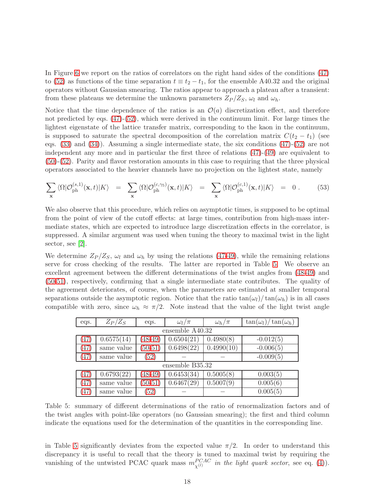In Figure [6](#page-20-0) we report on the ratios of correlators on the right hand sides of the conditions [\(47\)](#page-18-2) to [\(52\)](#page-18-2) as functions of the time separation  $t \equiv t_2 - t_1$ , for the ensemble A40.32 and the original operators without Gaussian smearing. The ratios appear to approach a plateau after a transient: from these plateaus we determine the unknown parameters  $Z_P/Z_S$ ,  $\omega_l$  and  $\omega_h$ .

Notice that the time dependence of the ratios is an  $\mathcal{O}(a)$  discretization effect, and therefore not predicted by eqs. [\(47\)](#page-18-2)-[\(52\)](#page-18-2), which were derived in the continuum limit. For large times the lightest eigenstate of the lattice transfer matrix, corresponding to the kaon in the continuum, is supposed to saturate the spectral decomposition of the correlation matrix  $C(t_2 - t_1)$  (see eqs. [\(33\)](#page-13-1) and [\(34\)](#page-13-3)). Assuming a single intermediate state, the six conditions [\(47\)](#page-18-2)-[\(52\)](#page-18-2) are not independent any more and in particular the first three of relations  $(47)-(49)$  $(47)-(49)$  are equivalent to [\(50\)](#page-18-2)-[\(52\)](#page-18-2). Parity and flavor restoration amounts in this case to requiring that the three physical operators associated to the heavier channels have no projection on the lightest state, namely

<span id="page-19-1"></span>
$$
\sum_{\mathbf{x}} \langle \Omega | \mathcal{O}_{\mathrm{ph}}^{(s,1)}(\mathbf{x},t) | K \rangle = \sum_{\mathbf{x}} \langle \Omega | \mathcal{O}_{\mathrm{ph}}^{(c,\gamma_5)}(\mathbf{x},t) | K \rangle = \sum_{\mathbf{x}} \langle \Omega | \mathcal{O}_{\mathrm{ph}}^{(c,1)}(\mathbf{x},t) | K \rangle = 0.
$$
 (53)

We also observe that this procedure, which relies on asymptotic times, is supposed to be optimal from the point of view of the cutoff effects: at large times, contribution from high-mass intermediate states, which are expected to introduce large discretization effects in the correlator, is suppressed. A similar argument was used when tuning the theory to maximal twist in the light sector, see [\[2\]](#page-28-1).

We determine  $Z_P/Z_S$ ,  $\omega_l$  and  $\omega_h$  by using the relations [\(47-49\)](#page-18-2), while the remaining relations serve for cross checking of the results. The latter are reported in Table [5.](#page-19-0) We observe an excellent agreement between the different determinations of the twist angles from [\(48-49\)](#page-18-2) and [\(50-51\)](#page-18-2), respectively, confirming that a single intermediate state contributes. The quality of the agreement deteriorates, of course, when the parameters are estimated at smaller temporal separations outside the asymptotic region. Notice that the ratio  $tan(\omega_l)/tan(\omega_h)$  is in all cases compatible with zero, since  $\omega_h \approx \pi/2$ . Note instead that the value of the light twist angle

| eqs.            | $Z_P/Z_S$       | eqs.        | $\omega_l/\pi$ | $\omega_h/\pi$ | $\tan(\omega_l)/\tan(\omega_h)$ |  |  |
|-----------------|-----------------|-------------|----------------|----------------|---------------------------------|--|--|
|                 | ensemble A40.32 |             |                |                |                                 |  |  |
| (47)            | 0.6575(14)      | $(48-49)$   | 0.6504(21)     | 0.4980(8)      | $-0.012(5)$                     |  |  |
| (47)            | same value      | $(50-51)$   | 0.6498(22)     | 0.4990(10)     | $-0.006(5)$                     |  |  |
| (47)            | same value      | (52)        |                |                | $-0.009(5)$                     |  |  |
| ensemble B35.32 |                 |             |                |                |                                 |  |  |
| (47)            | 0.6793(22)      | $(48 - 49)$ | 0.6453(34)     | 0.5005(8)      | 0.003(5)                        |  |  |
| (47)            | same value      | $(50-51)$   | 0.6467(29)     | 0.5007(9)      | 0.005(6)                        |  |  |
| (47)            | same value      | (52)        |                |                | 0.005(5)                        |  |  |

<span id="page-19-0"></span>Table 5: summary of different determinations of the ratio of renormalization factors and of the twist angles with point-like operators (no Gaussian smearing); the first and third column indicate the equations used for the determination of the quantities in the corresponding line.

in Table [5](#page-19-0) significantly deviates from the expected value  $\pi/2$ . In order to understand this discrepancy it is useful to recall that the theory is tuned to maximal twist by requiring the vanishing of the untwisted PCAC quark mass  $m_{\chi^{(l)}}^{PCAC}$  in the light quark sector, see eq. [\(4\)](#page-3-5)).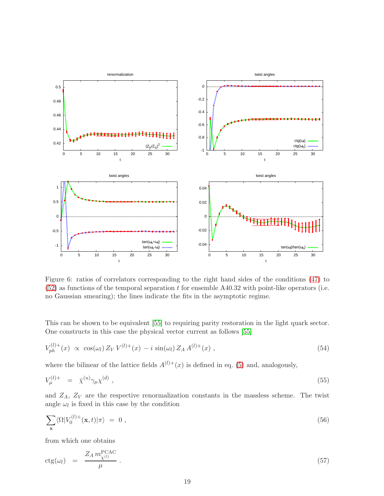

<span id="page-20-0"></span>Figure 6: ratios of correlators corresponding to the right hand sides of the conditions [\(47\)](#page-18-2) to  $(52)$  as functions of the temporal separation t for ensemble A40.32 with point-like operators (i.e. no Gaussian smearing); the lines indicate the fits in the asymptotic regime.

This can be shown to be equivalent [\[55\]](#page-31-9) to requiring parity restoration in the light quark sector. One constructs in this case the physical vector current as follows [\[55\]](#page-31-9)

$$
V_{ph}^{(l)+}(x) \propto \cos(\omega_l) Z_V V^{(l)+}(x) - i \sin(\omega_l) Z_A A^{(l)+}(x) , \qquad (54)
$$

where the bilinear of the lattice fields  $A^{(l)+}(x)$  is defined in eq. [\(5\)](#page-3-6) and, analogously,

$$
V^{(l)+}_{\mu} = \bar{\chi}^{(u)} \gamma_{\mu} \chi^{(d)} \,, \tag{55}
$$

and  $Z_A$ ,  $Z_V$  are the respective renormalization constants in the massless scheme. The twist angle  $\omega_l$  is fixed in this case by the condition

<span id="page-20-1"></span>
$$
\sum_{\mathbf{x}} \langle \Omega | V_0^{(l)+}(\mathbf{x}, t) | \pi \rangle = 0 \tag{56}
$$

from which one obtains

<span id="page-20-2"></span>
$$
ctg(\omega_l) = \frac{Z_A m_{\chi^{(l)}}^{\text{PCAC}}}{\mu} \,. \tag{57}
$$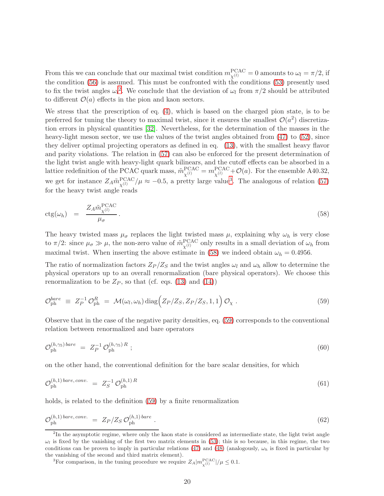From this we can conclude that our maximal twist condition  $m_{\chi^{(l)}}^{\text{PCAC}} = 0$  amounts to  $\omega_l = \pi/2$ , if the condition [\(56\)](#page-20-1) is assumed. This must be confronted with the conditions [\(53\)](#page-19-1) presently used to fix the twist angles  $\omega_l^2$  $\omega_l^2$ . We conclude that the deviation of  $\omega_l$  from  $\pi/2$  should be attributed to different  $\mathcal{O}(a)$  effects in the pion and kaon sectors.

We stress that the prescription of eq. [\(4\)](#page-3-5), which is based on the charged pion state, is to be preferred for tuning the theory to maximal twist, since it ensures the smallest  $\mathcal{O}(a^2)$  discretization errors in physical quantities [\[32\]](#page-30-0). Nevertheless, for the determination of the masses in the heavy-light meson sector, we use the values of the twist angles obtained from  $(47)$  to  $(52)$ , since they deliver optimal projecting operators as defined in eq. [\(13\)](#page-5-5), with the smallest heavy flavor and parity violations. The relation in [\(57\)](#page-20-2) can also be enforced for the present determination of the light twist angle with heavy-light quark bilinears, and the cutoff effects can be absorbed in a lattice redefinition of the PCAC quark mass,  $\tilde{m}_{\chi^{(l)}}^{\text{PCAC}} = m_{\chi^{(l)}}^{\text{PCAC}} + \mathcal{O}(a)$ . For the ensemble A40.32, we get for instance  $Z_A \tilde{m}_{\chi^{(l)}}^{\text{PCAC}}/\mu \approx -0.5$ , a pretty large value<sup>[3](#page-21-1)</sup>. The analogous of relation [\(57\)](#page-20-2) for the heavy twist angle reads

<span id="page-21-2"></span>
$$
ctg(\omega_h) = \frac{Z_A \tilde{m}_{\chi^{(l)}}^{\text{PCAC}}}{\mu_{\sigma}}.
$$
\n(58)

The heavy twisted mass  $\mu_{\sigma}$  replaces the light twisted mass  $\mu$ , explaining why  $\omega_h$  is very close to  $\pi/2$ : since  $\mu_{\sigma} \gg \mu$ , the non-zero value of  $\tilde{m}_{\chi^{(l)}}^{\text{PCAC}}$  only results in a small deviation of  $\omega_h$  from maximal twist. When inserting the above estimate in [\(58\)](#page-21-2) we indeed obtain  $\omega_h = 0.4956$ .

The ratio of normalization factors  $Z_P/Z_S$  and the twist angles  $\omega_l$  and  $\omega_h$  allow to determine the physical operators up to an overall renormalization (bare physical operators). We choose this renormalization to be  $Z_P$ , so that (cf. eqs. [\(13\)](#page-5-5) and [\(14\)](#page-5-6))

<span id="page-21-3"></span>
$$
\mathcal{O}_{\rm ph}^{bare} \equiv Z_P^{-1} \mathcal{O}_{\rm ph}^R = \mathcal{M}(\omega_l, \omega_h) \operatorname{diag} \Big(Z_P/Z_S, Z_P/Z_S, 1, 1\Big) \mathcal{O}_\chi \ . \tag{59}
$$

Observe that in the case of the negative parity densities, eq. [\(59\)](#page-21-3) corresponds to the conventional relation between renormalized and bare operators

$$
\mathcal{O}_{\mathrm{ph}}^{(h,\gamma_5)\text{ bare}} = Z_P^{-1} \mathcal{O}_{\mathrm{ph}}^{(h,\gamma_5)\text{ }R} ; \qquad (60)
$$

on the other hand, the conventional definition for the bare scalar densities, for which

$$
\mathcal{O}_{\rm ph}^{(h,1)\,bare,\,conv.} = Z_S^{-1} \, \mathcal{O}_{\rm ph}^{(h,1)\,R} \tag{61}
$$

holds, is related to the definition [\(59\)](#page-21-3) by a finite renormalization

$$
\mathcal{O}_{\text{ph}}^{(h,1)\text{bare},\text{conv.}} = Z_P/Z_S \,\mathcal{O}_{\text{ph}}^{(h,1)\text{bare}}\,. \tag{62}
$$

<span id="page-21-1"></span><sup>3</sup>For comparison, in the tuning procedure we require  $Z_A | m_{\chi^{(l)}}^{\text{PCAC}}|/\mu \leq 0.1$ .

<span id="page-21-0"></span><sup>&</sup>lt;sup>2</sup>In the asymptotic regime, where only the kaon state is considered as intermediate state, the light twist angle  $\omega_l$  is fixed by the vanishing of the first two matrix elements in [\(53\)](#page-19-1); this is so because, in this regime, the two conditions can be proven to imply in particular relations [\(47\)](#page-18-2) and [\(48\)](#page-18-2) (analogously,  $\omega_h$  is fixed in particular by the vanishing of the second and third matrix element).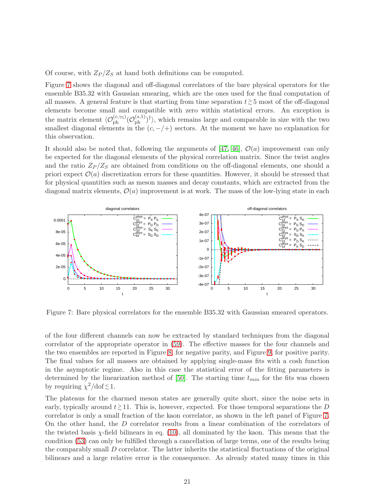Of course, with  $Z_P/Z_S$  at hand both definitions can be computed.

Figure [7](#page-22-0) shows the diagonal and off-diagonal correlators of the bare physical operators for the ensemble B35.32 with Gaussian smearing, which are the ones used for the final computation of all masses. A general feature is that starting from time separation  $t \gtrsim 5$  most of the off-diagonal elements become small and compatible with zero within statistical errors. An exception is the matrix element  $\langle \mathcal{O}_{ph}^{(c,\gamma_5)}(\mathcal{O}_{ph}^{(s,1)})^{\dagger} \rangle$ , which remains large and comparable in size with the two smallest diagonal elements in the  $(c, -/+)$  sectors. At the moment we have no explanation for this observation.

It should also be noted that, following the arguments of [\[47,](#page-31-0) [46\]](#page-31-1),  $\mathcal{O}(a)$  improvement can only be expected for the diagonal elements of the physical correlation matrix. Since the twist angles and the ratio  $Z_P/Z_S$  are obtained from conditions on the off-diagonal elements, one should a priori expect  $\mathcal{O}(a)$  discretization errors for these quantities. However, it should be stressed that for physical quantities such as meson masses and decay constants, which are extracted from the diagonal matrix elements,  $\mathcal{O}(a)$  improvement is at work. The mass of the low-lying state in each



<span id="page-22-0"></span>Figure 7: Bare physical correlators for the ensemble B35.32 with Gaussian smeared operators.

of the four different channels can now be extracted by standard techniques from the diagonal correlator of the appropriate operator in [\(59\)](#page-21-3). The effective masses for the four channels and the two ensembles are reported in Figure [8,](#page-23-0) for negative parity, and Figure [9,](#page-24-0) for positive parity. The final values for all masses are obtained by applying single-mass fits with a cosh function in the asymptotic regime. Also in this case the statistical error of the fitting parameters is determined by the linearization method of [\[50\]](#page-31-4). The starting time  $t_{min}$  for the fits was chosen by requiring  $\chi^2/\text{dof} \lesssim 1$ .

The plateaus for the charmed meson states are generally quite short, since the noise sets in early, typically around  $t \gtrsim 11$ . This is, however, expected. For those temporal separations the D correlator is only a small fraction of the kaon correlator, as shown in the left panel of Figure [7.](#page-22-0) On the other hand, the D correlator results from a linear combination of the correlators of the twisted basis  $\chi$ -field bilinears in eq. [\(10\)](#page-5-3), all dominated by the kaon. This means that the condition [\(53\)](#page-19-1) can only be fulfilled through a cancellation of large terms, one of the results being the comparably small D correlator. The latter inherits the statistical fluctuations of the original bilinears and a large relative error is the consequence. As already stated many times in this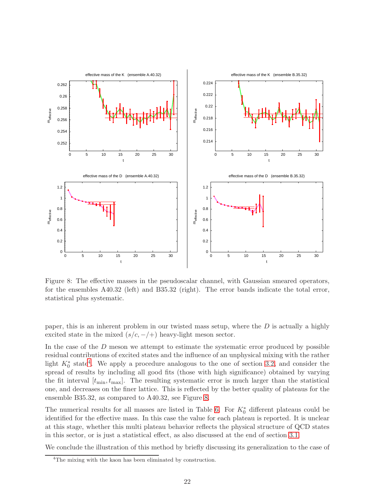

<span id="page-23-0"></span>Figure 8: The effective masses in the pseudoscalar channel, with Gaussian smeared operators, for the ensembles A40.32 (left) and B35.32 (right). The error bands indicate the total error, statistical plus systematic.

paper, this is an inherent problem in our twisted mass setup, where the  $D$  is actually a highly excited state in the mixed  $(s/c, -/+)$  heavy-light meson sector.

In the case of the  $D$  meson we attempt to estimate the systematic error produced by possible residual contributions of excited states and the influence of an unphysical mixing with the rather light  $K_0^*$  state<sup>[4](#page-23-1)</sup>. We apply a procedure analogous to the one of section [3.2,](#page-12-0) and consider the spread of results by including all good fits (those with high significance) obtained by varying the fit interval  $[t_{\min}, t_{\max}]$ . The resulting systematic error is much larger than the statistical one, and decreases on the finer lattice. This is reflected by the better quality of plateaus for the ensemble B35.32, as compared to A40.32, see Figure [8.](#page-23-0)

The numerical results for all masses are listed in Table [6.](#page-25-1) For  $K_0^*$  different plateaus could be identified for the effective mass. In this case the value for each plateau is reported. It is unclear at this stage, whether this multi plateau behavior reflects the physical structure of QCD states in this sector, or is just a statistical effect, as also discussed at the end of section [3.1.](#page-8-4)

We conclude the illustration of this method by briefly discussing its generalization to the case of

<span id="page-23-1"></span><sup>&</sup>lt;sup>4</sup>The mixing with the kaon has been eliminated by construction.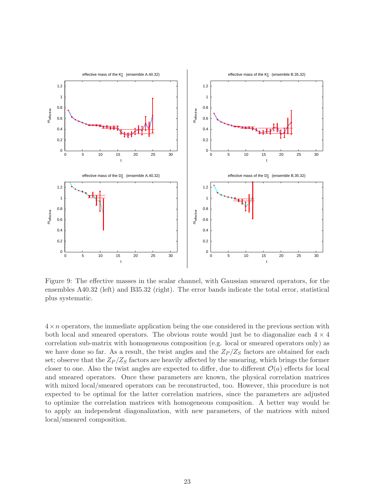

<span id="page-24-0"></span>Figure 9: The effective masses in the scalar channel, with Gaussian smeared operators, for the ensembles A40.32 (left) and B35.32 (right). The error bands indicate the total error, statistical plus systematic.

 $4 \times n$  operators, the immediate application being the one considered in the previous section with both local and smeared operators. The obvious route would just be to diagonalize each  $4 \times 4$ correlation sub-matrix with homogeneous composition (e.g. local or smeared operators only) as we have done so far. As a result, the twist angles and the  $Z_P/Z_S$  factors are obtained for each set; observe that the  $Z_P/Z_S$  factors are heavily affected by the smearing, which brings the former closer to one. Also the twist angles are expected to differ, due to different  $\mathcal{O}(a)$  effects for local and smeared operators. Once these parameters are known, the physical correlation matrices with mixed local/smeared operators can be reconstructed, too. However, this procedure is not expected to be optimal for the latter correlation matrices, since the parameters are adjusted to optimize the correlation matrices with homogeneous composition. A better way would be to apply an independent diagonalization, with new parameters, of the matrices with mixed local/smeared composition.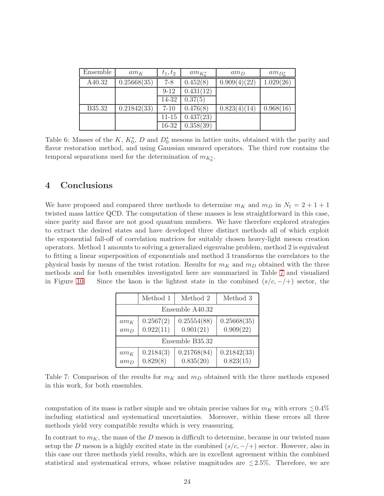| Ensemble | $am_K$      | $t_1, t_2$ | $am_{K^*_{\sigma}}$ | $am_D$       | $am_{D^*_{\alpha}}$ |
|----------|-------------|------------|---------------------|--------------|---------------------|
| A40.32   | 0.25668(35) | $7 - 8$    | 0.452(8)            | 0.909(4)(22) | 1.029(26)           |
|          |             | $9 - 12$   | 0.431(12)           |              |                     |
|          |             | 14-32      | 0.37(5)             |              |                     |
| B35.32   | 0.21842(33) | $7 - 10$   | 0.476(8)            | 0.823(4)(14) | 0.968(16)           |
|          |             | $11 - 15$  | 0.437(23)           |              |                     |
|          |             | 16-32      | 0.358(39)           |              |                     |

<span id="page-25-1"></span>Table 6: Masses of the K,  $K_0^*$ , D and  $D_0^*$  mesons in lattice units, obtained with the parity and flavor restoration method, and using Gaussian smeared operators. The third row contains the temporal separations used for the determination of  $m_{K_0^*}$ .

# <span id="page-25-0"></span>4 Conclusions

We have proposed and compared three methods to determine  $m_K$  and  $m_D$  in  $N_f = 2 + 1 + 1$ twisted mass lattice QCD. The computation of these masses is less straightforward in this case, since parity and flavor are not good quantum numbers. We have therefore explored strategies to extract the desired states and have developed three distinct methods all of which exploit the exponential fall-off of correlation matrices for suitably chosen heavy-light meson creation operators. Method 1 amounts to solving a generalized eigenvalue problem, method 2 is equivalent to fitting a linear superposition of exponentials and method 3 transforms the correlators to the physical basis by means of the twist rotation. Results for  $m<sub>K</sub>$  and  $m<sub>D</sub>$  obtained with the three methods and for both ensembles investigated here are summarized in Table [7](#page-25-2) and visualized in Figure [10.](#page-26-0) Since the kaon is the lightest state in the combined  $(s/c, -/-)$  sector, the

|                  | Method 1               | Method 2                 | Method 3                 |  |  |  |
|------------------|------------------------|--------------------------|--------------------------|--|--|--|
| Ensemble A40.32  |                        |                          |                          |  |  |  |
| $am_K$<br>$am_D$ | 0.2567(2)<br>0.922(11) | 0.25554(88)<br>0.901(21) | 0.25668(35)<br>0.909(22) |  |  |  |
| Ensemble B35.32  |                        |                          |                          |  |  |  |
| $am_K$<br>$am_D$ | 0.2184(3)<br>0.829(8)  | 0.21768(84)<br>0.835(20) | 0.21842(33)<br>0.823(15) |  |  |  |

<span id="page-25-2"></span>Table 7: Comparison of the results for  $m_K$  and  $m_D$  obtained with the three methods exposed in this work, for both ensembles.

computation of its mass is rather simple and we obtain precise values for  $m_K$  with errors  $\leq 0.4\%$ including statistical and systematical uncertainties. Moreover, within these errors all three methods yield very compatible results which is very reassuring.

In contrast to  $m<sub>K</sub>$ , the mass of the D meson is difficult to determine, because in our twisted mass setup the D meson is a highly excited state in the combined  $(s/c, -/+)$  sector. However, also in this case our three methods yield results, which are in excellent agreement within the combined statistical and systematical errors, whose relative magnitudes are  $\leq 2.5\%$ . Therefore, we are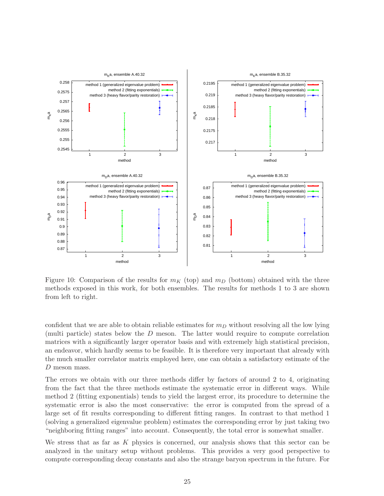

<span id="page-26-0"></span>Figure 10: Comparison of the results for  $m_K$  (top) and  $m_D$  (bottom) obtained with the three methods exposed in this work, for both ensembles. The results for methods 1 to 3 are shown from left to right.

confident that we are able to obtain reliable estimates for  $m<sub>D</sub>$  without resolving all the low lying (multi particle) states below the D meson. The latter would require to compute correlation matrices with a significantly larger operator basis and with extremely high statistical precision, an endeavor, which hardly seems to be feasible. It is therefore very important that already with the much smaller correlator matrix employed here, one can obtain a satisfactory estimate of the D meson mass.

The errors we obtain with our three methods differ by factors of around 2 to 4, originating from the fact that the three methods estimate the systematic error in different ways. While method 2 (fitting exponentials) tends to yield the largest error, its procedure to determine the systematic error is also the most conservative: the error is computed from the spread of a large set of fit results corresponding to different fitting ranges. In contrast to that method 1 (solving a generalized eigenvalue problem) estimates the corresponding error by just taking two "neighboring fitting ranges" into account. Consequently, the total error is somewhat smaller.

We stress that as far as  $K$  physics is concerned, our analysis shows that this sector can be analyzed in the unitary setup without problems. This provides a very good perspective to compute corresponding decay constants and also the strange baryon spectrum in the future. For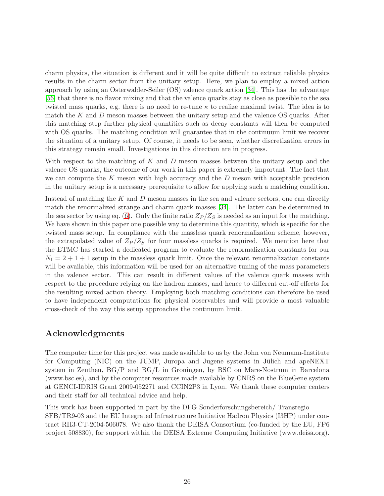charm physics, the situation is different and it will be quite difficult to extract reliable physics results in the charm sector from the unitary setup. Here, we plan to employ a mixed action approach by using an Osterwalder-Seiler (OS) valence quark action [\[34\]](#page-30-5). This has the advantage [\[56\]](#page-31-10) that there is no flavor mixing and that the valence quarks stay as close as possible to the sea twisted mass quarks, e.g. there is no need to re-tune  $\kappa$  to realize maximal twist. The idea is to match the K and D meson masses between the unitary setup and the valence OS quarks. After this matching step further physical quantities such as decay constants will then be computed with OS quarks. The matching condition will guarantee that in the continuum limit we recover the situation of a unitary setup. Of course, it needs to be seen, whether discretization errors in this strategy remain small. Investigations in this direction are in progress.

With respect to the matching of K and D meson masses between the unitary setup and the valence OS quarks, the outcome of our work in this paper is extremely important. The fact that we can compute the K meson with high accuracy and the  $D$  meson with acceptable precision in the unitary setup is a necessary prerequisite to allow for applying such a matching condition.

Instead of matching the  $K$  and  $D$  meson masses in the sea and valence sectors, one can directly match the renormalized strange and charm quark masses [\[34\]](#page-30-5). The latter can be determined in the sea sector by using eq. [\(6\)](#page-3-4). Only the finite ratio  $Z_P/Z_S$  is needed as an input for the matching. We have shown in this paper one possible way to determine this quantity, which is specific for the twisted mass setup. In compliance with the massless quark renormalization scheme, however, the extrapolated value of  $Z_P/Z_S$  for four massless quarks is required. We mention here that the ETMC has started a dedicated program to evaluate the renormalization constants for our  $N_f = 2 + 1 + 1$  setup in the massless quark limit. Once the relevant renormalization constants will be available, this information will be used for an alternative tuning of the mass parameters in the valence sector. This can result in different values of the valence quark masses with respect to the procedure relying on the hadron masses, and hence to different cut-off effects for the resulting mixed action theory. Employing both matching conditions can therefore be used to have independent computations for physical observables and will provide a most valuable cross-check of the way this setup approaches the continuum limit.

# Acknowledgments

The computer time for this project was made available to us by the John von Neumann-Institute for Computing (NIC) on the JUMP, Juropa and Jugene systems in Jülich and apeNEXT system in Zeuthen, BG/P and BG/L in Groningen, by BSC on Mare-Nostrum in Barcelona (www.bsc.es), and by the computer resources made available by CNRS on the BlueGene system at GENCI-IDRIS Grant 2009-052271 and CCIN2P3 in Lyon. We thank these computer centers and their staff for all technical advice and help.

This work has been supported in part by the DFG Sonderforschungsbereich/ Transregio SFB/TR9-03 and the EU Integrated Infrastructure Initiative Hadron Physics (I3HP) under contract RII3-CT-2004-506078. We also thank the DEISA Consortium (co-funded by the EU, FP6 project 508830), for support within the DEISA Extreme Computing Initiative (www.deisa.org).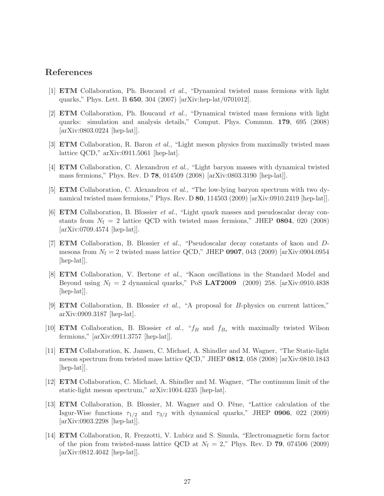## <span id="page-28-0"></span>References

- <span id="page-28-1"></span>[1] ETM Collaboration, Ph. Boucaud et al., "Dynamical twisted mass fermions with light quarks," Phys. Lett. B 650, 304 (2007) [arXiv:hep-lat/0701012].
- [2] ETM Collaboration, Ph. Boucaud et al., "Dynamical twisted mass fermions with light quarks: simulation and analysis details," Comput. Phys. Commun. 179, 695 (2008) [arXiv:0803.0224 [hep-lat]].
- <span id="page-28-3"></span><span id="page-28-2"></span>[3] **ETM** Collaboration, R. Baron *et al.*, "Light meson physics from maximally twisted mass lattice QCD," arXiv:0911.5061 [hep-lat].
- <span id="page-28-4"></span>[4] ETM Collaboration, C. Alexandrou et al., "Light baryon masses with dynamical twisted mass fermions," Phys. Rev. D 78, 014509 (2008) [arXiv:0803.3190 [hep-lat]].
- <span id="page-28-5"></span>[5] ETM Collaboration, C. Alexandrou et al., "The low-lying baryon spectrum with two dynamical twisted mass fermions," Phys. Rev. D 80, 114503 (2009) [arXiv:0910.2419 [hep-lat]].
- [6] ETM Collaboration, B. Blossier et al., "Light quark masses and pseudoscalar decay constants from  $N_f = 2$  lattice QCD with twisted mass fermions," JHEP 0804, 020 (2008) [arXiv:0709.4574 [hep-lat]].
- <span id="page-28-6"></span>[7] ETM Collaboration, B. Blossier et al., "Pseudoscalar decay constants of kaon and Dmesons from  $N_f = 2$  twisted mass lattice QCD," JHEP 0907, 043 (2009) [arXiv:0904.0954 [hep-lat]].
- <span id="page-28-7"></span>[8] ETM Collaboration, V. Bertone et al., "Kaon oscillations in the Standard Model and Beyond using  $N_f = 2$  dynamical quarks," PoS LAT2009 (2009) 258. [arXiv:0910.4838 [hep-lat].
- <span id="page-28-8"></span>[9] ETM Collaboration, B. Blossier et al., "A proposal for B-physics on current lattices," arXiv:0909.3187 [hep-lat].
- <span id="page-28-9"></span>[10] **ETM** Collaboration, B. Blossier et al., " $f_B$  and  $f_{B_s}$  with maximally twisted Wilson fermions," [arXiv:0911.3757 [hep-lat]].
- <span id="page-28-10"></span>[11] ETM Collaboration, K. Jansen, C. Michael, A. Shindler and M. Wagner, "The Static-light meson spectrum from twisted mass lattice QCD," JHEP 0812, 058 (2008) [arXiv:0810.1843 [hep-lat]].
- <span id="page-28-11"></span>[12] ETM Collaboration, C. Michael, A. Shindler and M. Wagner, "The continuum limit of the static-light meson spectrum," arXiv:1004.4235 [hep-lat].
- <span id="page-28-12"></span>[13] **ETM** Collaboration, B. Blossier, M. Wagner and O. Pène, "Lattice calculation of the Isgur-Wise functions  $\tau_{1/2}$  and  $\tau_{3/2}$  with dynamical quarks," JHEP 0906, 022 (2009) [arXiv:0903.2298 [hep-lat]].
- <span id="page-28-13"></span>[14] ETM Collaboration, R. Frezzotti, V. Lubicz and S. Simula, "Electromagnetic form factor of the pion from twisted-mass lattice QCD at  $N_f = 2$ ," Phys. Rev. D 79, 074506 (2009) [arXiv:0812.4042 [hep-lat]].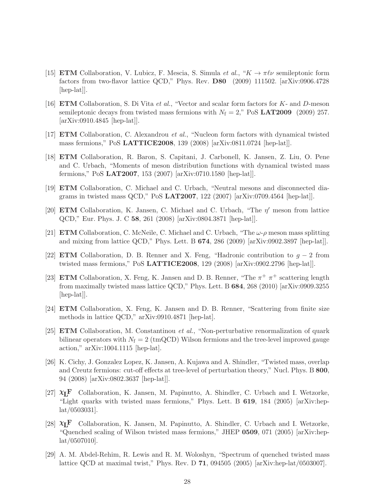- <span id="page-29-0"></span>[15] **ETM** Collaboration, V. Lubicz, F. Mescia, S. Simula *et al.*, " $K \to \pi \ell \nu$  semileptonic form factors from two-flavor lattice QCD," Phys. Rev. D80 (2009) 111502. [arXiv:0906.4728 [hep-lat].
- <span id="page-29-1"></span>[16] **ETM** Collaboration, S. Di Vita *et al.*, "Vector and scalar form factors for K- and D-meson semileptonic decays from twisted mass fermions with  $N_f = 2$ ," PoS LAT2009 (2009) 257. [arXiv:0910.4845 [hep-lat]].
- <span id="page-29-3"></span><span id="page-29-2"></span>[17] ETM Collaboration, C. Alexandrou et al., "Nucleon form factors with dynamical twisted mass fermions," PoS LATTICE2008, 139 (2008) [arXiv:0811.0724 [hep-lat]].
- [18] ETM Collaboration, R. Baron, S. Capitani, J. Carbonell, K. Jansen, Z. Liu, O. Pene and C. Urbach, "Moments of meson distribution functions with dynamical twisted mass fermions," PoS LAT2007, 153 (2007) [arXiv:0710.1580 [hep-lat]].
- <span id="page-29-4"></span>[19] ETM Collaboration, C. Michael and C. Urbach, "Neutral mesons and disconnected diagrams in twisted mass QCD," PoS LAT2007, 122 (2007) [arXiv:0709.4564 [hep-lat]].
- <span id="page-29-5"></span>[20] ETM Collaboration, K. Jansen, C. Michael and C. Urbach, "The η ′ meson from lattice QCD," Eur. Phys. J. C 58, 261 (2008) [arXiv:0804.3871 [hep-lat]].
- <span id="page-29-6"></span>[21] **ETM** Collaboration, C. McNeile, C. Michael and C. Urbach, "The  $\omega$ - $\rho$  meson mass splitting and mixing from lattice QCD," Phys. Lett. B 674, 286 (2009) [arXiv:0902.3897 [hep-lat]].
- <span id="page-29-7"></span>[22] ETM Collaboration, D. B. Renner and X. Feng, "Hadronic contribution to  $g - 2$  from twisted mass fermions," PoS LATTICE2008, 129 (2008) [arXiv:0902.2796 [hep-lat]].
- <span id="page-29-8"></span>[23] **ETM** Collaboration, X. Feng, K. Jansen and D. B. Renner, "The  $\pi^{+}$   $\pi^{+}$  scattering length from maximally twisted mass lattice QCD," Phys. Lett. B 684, 268 (2010) [arXiv:0909.3255 [hep-lat].
- <span id="page-29-9"></span>[24] ETM Collaboration, X. Feng, K. Jansen and D. B. Renner, "Scattering from finite size methods in lattice QCD," arXiv:0910.4871 [hep-lat].
- <span id="page-29-10"></span>[25] ETM Collaboration, M. Constantinou et al., "Non-perturbative renormalization of quark bilinear operators with  $N_f = 2 \text{ (tmQCD)}$  Wilson fermions and the tree-level improved gauge action," arXiv:1004.1115 [hep-lat].
- <span id="page-29-11"></span>[26] K. Cichy, J. Gonzalez Lopez, K. Jansen, A. Kujawa and A. Shindler, "Twisted mass, overlap and Creutz fermions: cut-off effects at tree-level of perturbation theory," Nucl. Phys. B 800, 94 (2008) [arXiv:0802.3637 [hep-lat]].
- <span id="page-29-12"></span>[27]  $\chi$ <sub>L</sub>F Collaboration, K. Jansen, M. Papinutto, A. Shindler, C. Urbach and I. Wetzorke, "Light quarks with twisted mass fermions," Phys. Lett. B 619, 184 (2005) [arXiv:heplat/0503031].
- <span id="page-29-13"></span>[28]  $\mathbf{X_L}$  Collaboration, K. Jansen, M. Papinutto, A. Shindler, C. Urbach and I. Wetzorke, "Quenched scaling of Wilson twisted mass fermions," JHEP 0509, 071 (2005) [arXiv:hep- $\frac{\text{lat}}{\text{0507010}}$ .
- <span id="page-29-14"></span>[29] A. M. Abdel-Rehim, R. Lewis and R. M. Woloshyn, "Spectrum of quenched twisted mass lattice QCD at maximal twist," Phys. Rev. D 71, 094505 (2005) [arXiv:hep-lat/0503007].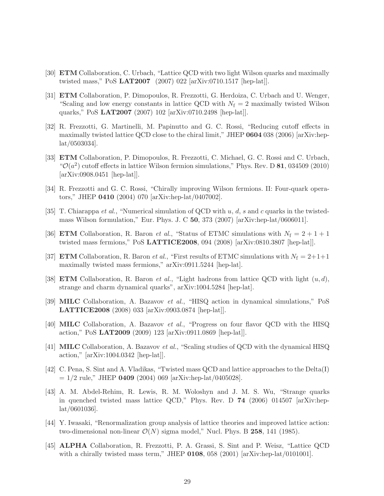- <span id="page-30-3"></span><span id="page-30-2"></span>[30] ETM Collaboration, C. Urbach, "Lattice QCD with two light Wilson quarks and maximally twisted mass," PoS LAT2007 (2007) 022 [arXiv:0710.1517 [hep-lat]].
- [31] ETM Collaboration, P. Dimopoulos, R. Frezzotti, G. Herdoiza, C. Urbach and U. Wenger, "Scaling and low energy constants in lattice QCD with  $N_f = 2$  maximally twisted Wilson quarks," PoS LAT2007 (2007) 102 [arXiv:0710.2498 [hep-lat]].
- <span id="page-30-0"></span>[32] R. Frezzotti, G. Martinelli, M. Papinutto and G. C. Rossi, "Reducing cutoff effects in maximally twisted lattice QCD close to the chiral limit," JHEP 0604 038 (2006) [arXiv:heplat/0503034].
- <span id="page-30-1"></span>[33] ETM Collaboration, P. Dimopoulos, R. Frezzotti, C. Michael, G. C. Rossi and C. Urbach, " $\mathcal{O}(a^2)$  cutoff effects in lattice Wilson fermion simulations," Phys. Rev. D 81, 034509 (2010) [arXiv:0908.0451 [hep-lat]].
- <span id="page-30-6"></span><span id="page-30-5"></span>[34] R. Frezzotti and G. C. Rossi, "Chirally improving Wilson fermions. II: Four-quark operators," JHEP 0410 (2004) 070 [arXiv:hep-lat/0407002].
- [35] T. Chiarappa *et al.*, "Numerical simulation of QCD with u, d, s and c quarks in the twistedmass Wilson formulation," Eur. Phys. J. C  $50$ , 373 (2007) [arXiv:hep-lat/0606011].
- <span id="page-30-8"></span><span id="page-30-7"></span>[36] **ETM** Collaboration, R. Baron *et al.*, "Status of ETMC simulations with  $N_f = 2 + 1 + 1$ twisted mass fermions," PoS LATTICE2008, 094 (2008) [arXiv:0810.3807 [hep-lat]].
- <span id="page-30-4"></span>[37] **ETM** Collaboration, R. Baron *et al.*, "First results of ETMC simulations with  $N_f = 2+1+1$ maximally twisted mass fermions," arXiv:0911.5244 [hep-lat].
- [38] **ETM** Collaboration, R. Baron *et al.*, "Light hadrons from lattice QCD with light  $(u, d)$ , strange and charm dynamical quarks", arXiv:1004.5284 [hep-lat].
- [39] MILC Collaboration, A. Bazavov et al., "HISQ action in dynamical simulations," PoS LATTICE2008 (2008) 033 [arXiv:0903.0874 [hep-lat]].
- [40] MILC Collaboration, A. Bazavov et al., "Progress on four flavor QCD with the HISQ action," PoS LAT2009 (2009) 123 [arXiv:0911.0869 [hep-lat]].
- [41] MILC Collaboration, A. Bazavov et al., "Scaling studies of QCD with the dynamical HISQ action," [arXiv:1004.0342 [hep-lat]].
- <span id="page-30-9"></span>[42] C. Pena, S. Sint and A. Vladikas, "Twisted mass QCD and lattice approaches to the Delta(I)  $= 1/2$  rule," JHEP 0409 (2004) 069 [arXiv:hep-lat/0405028].
- <span id="page-30-10"></span>[43] A. M. Abdel-Rehim, R. Lewis, R. M. Woloshyn and J. M. S. Wu, "Strange quarks in quenched twisted mass lattice QCD," Phys. Rev. D 74 (2006) 014507 [arXiv:heplat/0601036].
- <span id="page-30-11"></span>[44] Y. Iwasaki, "Renormalization group analysis of lattice theories and improved lattice action: two-dimensional non-linear  $\mathcal{O}(N)$  sigma model," Nucl. Phys. B 258, 141 (1985).
- <span id="page-30-12"></span>[45] ALPHA Collaboration, R. Frezzotti, P. A. Grassi, S. Sint and P. Weisz, "Lattice QCD with a chirally twisted mass term," JHEP 0108, 058 (2001) [arXiv:hep-lat/0101001].